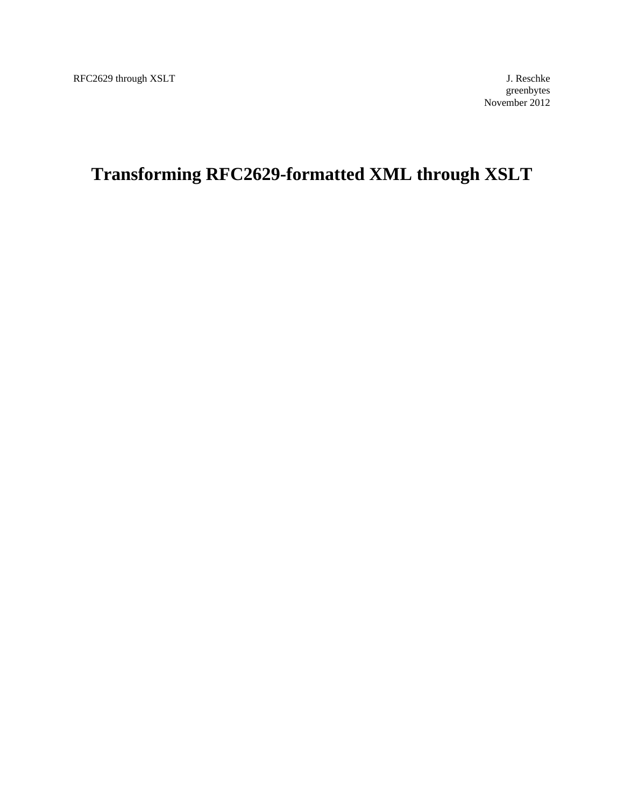# **Transforming RFC2629-formatted XML through XSLT**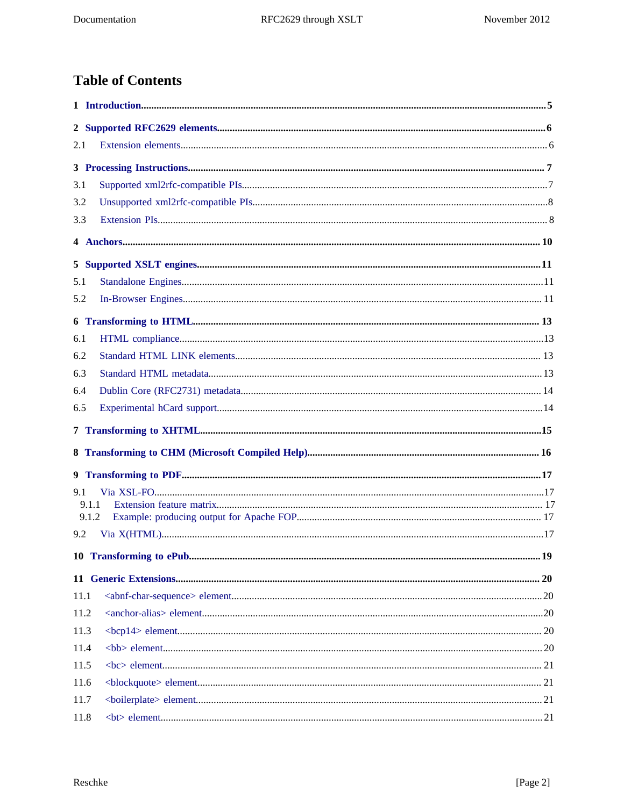# **Table of Contents**

| 2.1   |      |  |
|-------|------|--|
|       |      |  |
| 3.1   |      |  |
| 3.2   |      |  |
| 3.3   |      |  |
|       |      |  |
|       |      |  |
| 5.1   |      |  |
| 5.2   |      |  |
|       |      |  |
| 6.1   |      |  |
| 6.2   |      |  |
| 6.3   |      |  |
| 6.4   |      |  |
| 6.5   |      |  |
|       |      |  |
|       |      |  |
|       |      |  |
| 9.1   |      |  |
| 9.1.1 |      |  |
| 9.1.2 |      |  |
| 9.2   |      |  |
|       |      |  |
|       |      |  |
| 11.1  |      |  |
| 11.2  |      |  |
| 11.3  |      |  |
| 11.4  |      |  |
| 11.5  |      |  |
| 11.6  |      |  |
| 11.7  |      |  |
| 11.8  | $21$ |  |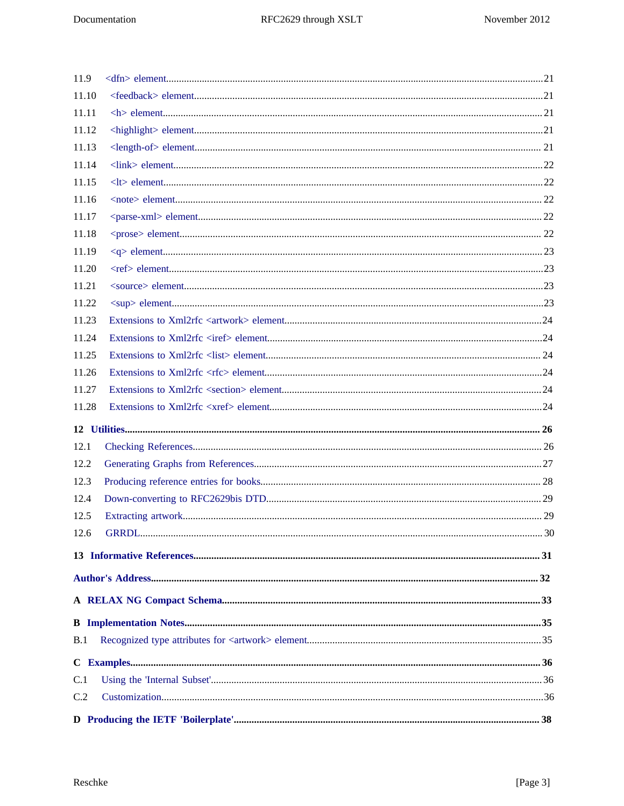| 11.9  |  |
|-------|--|
| 11.10 |  |
| 11.11 |  |
| 11.12 |  |
| 11.13 |  |
| 11.14 |  |
| 11.15 |  |
| 11.16 |  |
| 11.17 |  |
| 11.18 |  |
| 11.19 |  |
| 11.20 |  |
| 11.21 |  |
| 11.22 |  |
| 11.23 |  |
| 11.24 |  |
| 11.25 |  |
| 11.26 |  |
| 11.27 |  |
| 11.28 |  |
|       |  |
| 12.1  |  |
| 12.2  |  |
| 12.3  |  |
| 12.4  |  |
| 12.5  |  |
| 12.6  |  |
|       |  |
|       |  |
|       |  |
|       |  |
| B.1   |  |
|       |  |
| C.1   |  |
| C.2   |  |
|       |  |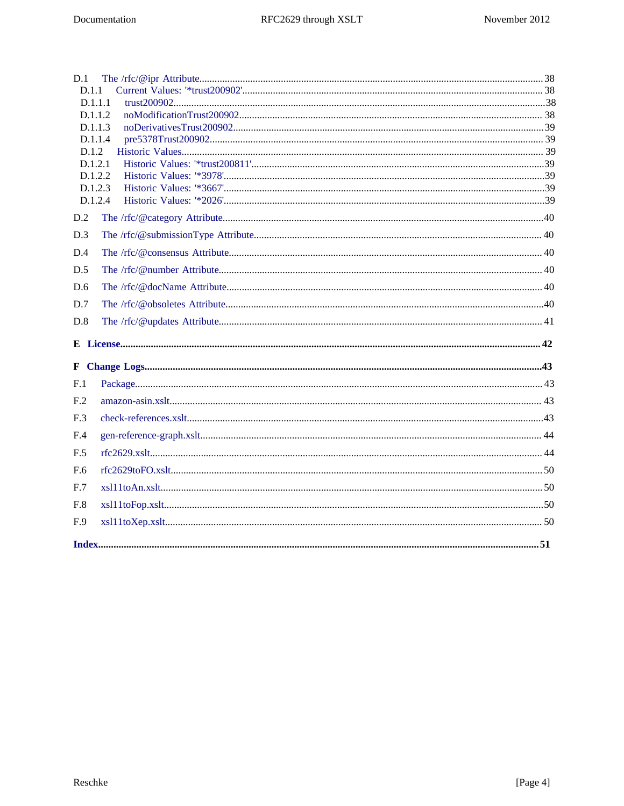| D.1                |  |
|--------------------|--|
| D.1.1              |  |
| D.1.1.1            |  |
| D.1.1.2            |  |
| D.1.1.3            |  |
| D.1.1.4            |  |
| D.1.2              |  |
| D.1.2.1            |  |
| D.1.2.2            |  |
| D.1.2.3<br>D.1.2.4 |  |
|                    |  |
| D.2                |  |
| D.3                |  |
| D.4                |  |
| D.5                |  |
| D.6                |  |
| D.7                |  |
| D.8                |  |
|                    |  |
|                    |  |
| F <sub>.1</sub>    |  |
| F.2                |  |
| F.3                |  |
| F.4                |  |
| F.5                |  |
| F.6                |  |
| F.7                |  |
| F.8                |  |
| F.9                |  |
|                    |  |
|                    |  |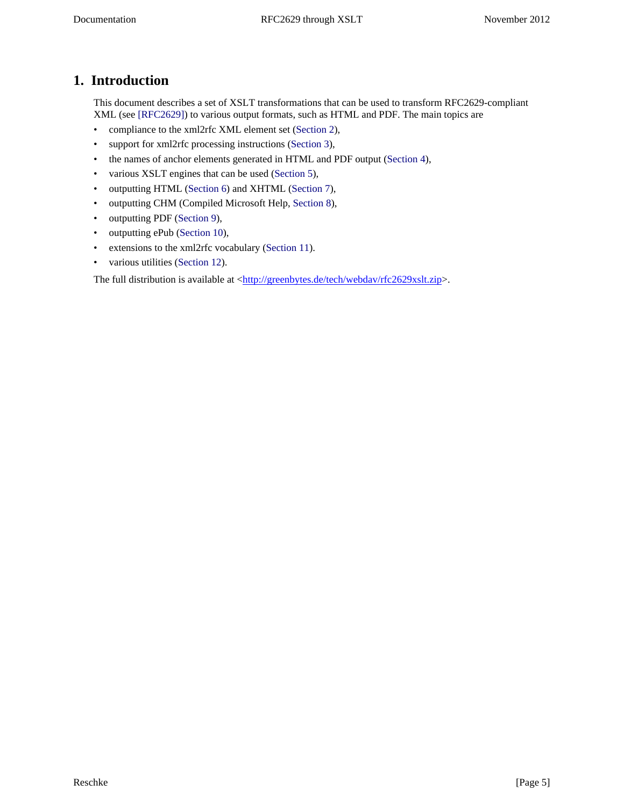# <span id="page-4-0"></span>**1. Introduction**

<span id="page-4-1"></span>This document describes a set of XSLT transformations that can be used to transform RFC2629-compliant XML (see [\[RFC2629\]\)](#page-30-1) to various output formats, such as HTML and PDF. The main topics are

- compliance to the xml2rfc XML element set ([Section 2](#page-5-0)),
- support for xml2rfc processing instructions ([Section 3](#page-6-0)),
- the names of anchor elements generated in HTML and PDF output [\(Section 4\)](#page-9-0),
- various XSLT engines that can be used [\(Section 5\)](#page-10-0),
- outputting HTML ([Section 6](#page-12-0)) and XHTML [\(Section 7\)](#page-14-0),
- outputting CHM (Compiled Microsoft Help, [Section 8](#page-15-0)),
- outputting PDF ([Section 9](#page-16-0)),
- outputting ePub [\(Section 10\)](#page-18-0),
- extensions to the xml2rfc vocabulary [\(Section 11\)](#page-19-0).
- various utilities ([Section 12](#page-25-0)).

The full distribution is available at [<http://greenbytes.de/tech/webdav/rfc2629xslt.zip>](http://greenbytes.de/tech/webdav/rfc2629xslt.zip).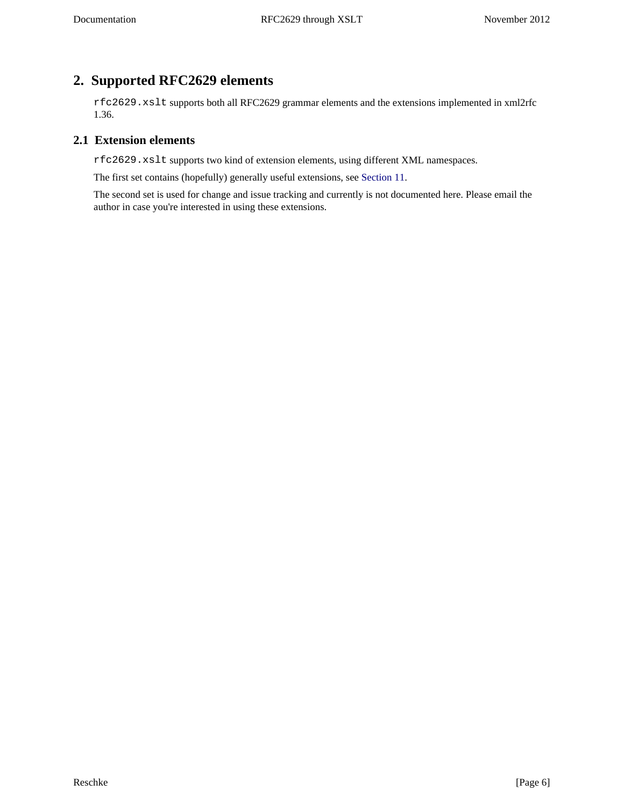# <span id="page-5-0"></span>**2. Supported RFC2629 elements**

rfc2629.xslt supports both all RFC2629 grammar elements and the extensions implemented in xml2rfc 1.36.

## <span id="page-5-1"></span>**2.1 Extension elements**

rfc2629.xslt supports two kind of extension elements, using different XML namespaces.

The first set contains (hopefully) generally useful extensions, see [Section 11](#page-19-0).

The second set is used for change and issue tracking and currently is not documented here. Please email the author in case you're interested in using these extensions.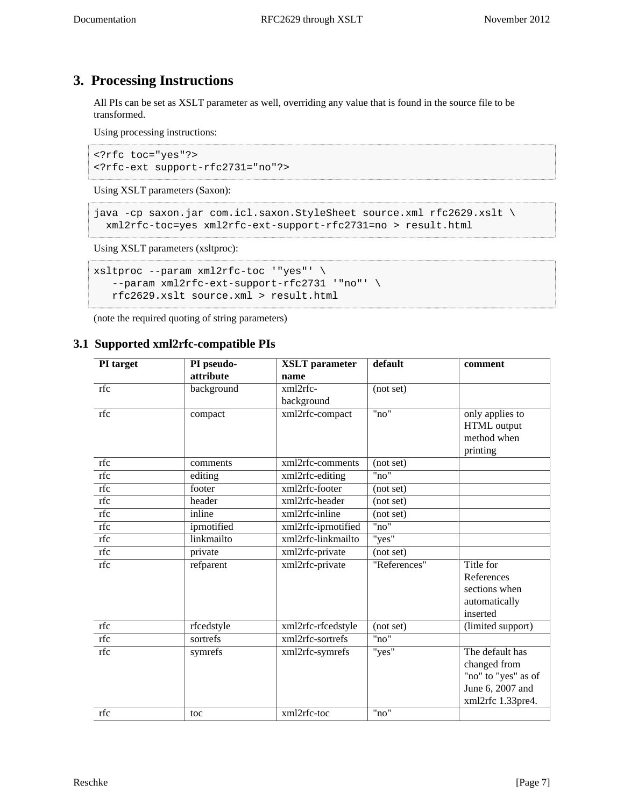# <span id="page-6-0"></span>**3. Processing Instructions**

All PIs can be set as XSLT parameter as well, overriding any value that is found in the source file to be transformed.

Using processing instructions:

```
<?rfc toc="yes"?>
<?rfc-ext support-rfc2731="no"?>
```
Using XSLT parameters (Saxon):

```
java -cp saxon.jar com.icl.saxon.StyleSheet source.xml rfc2629.xslt \
  xml2rfc-toc=yes xml2rfc-ext-support-rfc2731=no > result.html
```
<span id="page-6-3"></span>Using XSLT parameters (xsltproc):

```
xsltproc --param xml2rfc-toc '"yes"' \
    --param xml2rfc-ext-support-rfc2731 '"no"' \
   rfc2629.xslt source.xml > result.html
```
(note the required quoting of string parameters)

# <span id="page-6-1"></span>**3.1 Supported xml2rfc-compatible PIs**

<span id="page-6-2"></span>

| PI target | PI pseudo-  | <b>XSLT</b> parameter | default      | comment             |
|-----------|-------------|-----------------------|--------------|---------------------|
|           | attribute   | name                  |              |                     |
| rfc       | background  | xml2rfc-              | (not set)    |                     |
|           |             | background            |              |                     |
| rfc       | compact     | xml2rfc-compact       | "no"         | only applies to     |
|           |             |                       |              | HTML output         |
|           |             |                       |              | method when         |
|           |             |                       |              | printing            |
| rfc       | comments    | xml2rfc-comments      | (not set)    |                     |
| rfc       | editing     | xml2rfc-editing       | "no"         |                     |
| rfc       | footer      | xml2rfc-footer        | (not set)    |                     |
| rfc       | header      | xml2rfc-header        | (not set)    |                     |
| rfc       | inline      | xml2rfc-inline        | (not set)    |                     |
| rfc       | iprnotified | xml2rfc-iprnotified   | "no"         |                     |
| rfc       | linkmailto  | xml2rfc-linkmailto    | "yes"        |                     |
| rfc       | private     | xml2rfc-private       | (not set)    |                     |
| rfc       | refparent   | xml2rfc-private       | "References" | Title for           |
|           |             |                       |              | References          |
|           |             |                       |              | sections when       |
|           |             |                       |              | automatically       |
|           |             |                       |              | inserted            |
| rfc       | rfcedstyle  | xml2rfc-rfcedstyle    | (not set)    | (limited support)   |
| rfc       | sortrefs    | xml2rfc-sortrefs      | "no"         |                     |
| rfc       | symrefs     | xml2rfc-symrefs       | "yes"        | The default has     |
|           |             |                       |              | changed from        |
|           |             |                       |              | "no" to "yes" as of |
|           |             |                       |              | June 6, 2007 and    |
|           |             |                       |              | xml2rfc 1.33pre4.   |
| rfc       | toc         | xml2rfc-toc           | "no"         |                     |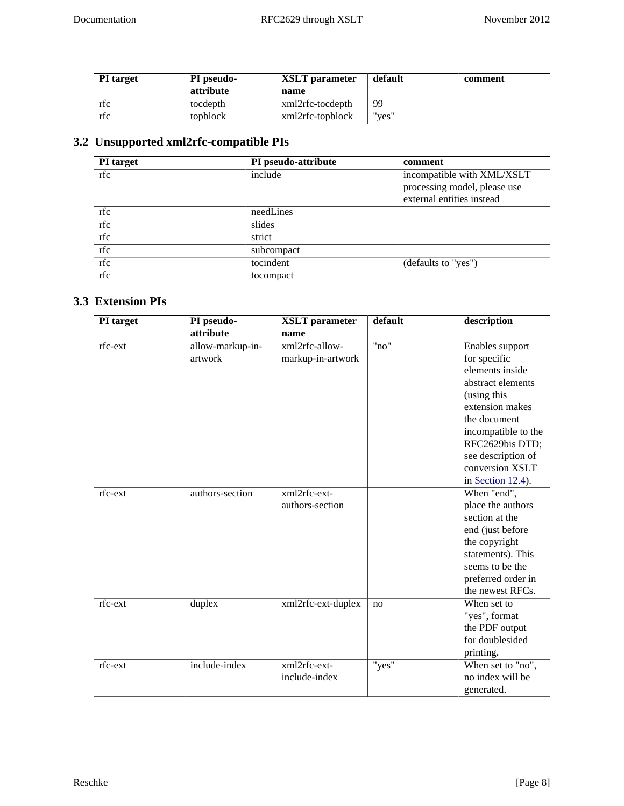| <b>PI</b> target | <b>PI</b> pseudo- | <b>XSLT</b> parameter | default | comment |
|------------------|-------------------|-----------------------|---------|---------|
|                  | attribute         | name                  |         |         |
| rtc              | tocdepth          | xml2rfc-tocdepth      | 99      |         |
| rfc              | topblock          | xml2rfc-topblock      | "ves"   |         |

# <span id="page-7-0"></span>**3.2 Unsupported xml2rfc-compatible PIs**

<span id="page-7-3"></span>

| <b>PI</b> target | PI pseudo-attribute | comment                      |
|------------------|---------------------|------------------------------|
| rfc              | include             | incompatible with XML/XSLT   |
|                  |                     | processing model, please use |
|                  |                     | external entities instead    |
| rfc              | needLines           |                              |
| rfc              | slides              |                              |
| rfc              | strict              |                              |
| rfc              | subcompact          |                              |
| rfc              | tocindent           | (defaults to "yes")          |
| rfc              | tocompact           |                              |

# <span id="page-7-1"></span>**3.3 Extension PIs**

<span id="page-7-2"></span>

| PI target | PI pseudo-       | <b>XSLT</b> parameter | default | description         |
|-----------|------------------|-----------------------|---------|---------------------|
|           | attribute        | name                  |         |                     |
| rfc-ext   | allow-markup-in- | xml2rfc-allow-        | "no"    | Enables support     |
|           | artwork          | markup-in-artwork     |         | for specific        |
|           |                  |                       |         | elements inside     |
|           |                  |                       |         | abstract elements   |
|           |                  |                       |         | (using this         |
|           |                  |                       |         | extension makes     |
|           |                  |                       |         | the document        |
|           |                  |                       |         | incompatible to the |
|           |                  |                       |         | RFC2629bis DTD;     |
|           |                  |                       |         | see description of  |
|           |                  |                       |         | conversion XSLT     |
|           |                  |                       |         | in Section 12.4).   |
| rfc-ext   | authors-section  | xml2rfc-ext-          |         | When "end",         |
|           |                  | authors-section       |         | place the authors   |
|           |                  |                       |         | section at the      |
|           |                  |                       |         | end (just before    |
|           |                  |                       |         | the copyright       |
|           |                  |                       |         | statements). This   |
|           |                  |                       |         | seems to be the     |
|           |                  |                       |         | preferred order in  |
|           |                  |                       |         | the newest RFCs.    |
| rfc-ext   | duplex           | xml2rfc-ext-duplex    | no      | When set to         |
|           |                  |                       |         | "yes", format       |
|           |                  |                       |         | the PDF output      |
|           |                  |                       |         | for doublesided     |
|           |                  |                       |         | printing.           |
| rfc-ext   | include-index    | xml2rfc-ext-          | "yes"   | When set to "no",   |
|           |                  | include-index         |         | no index will be    |
|           |                  |                       |         | generated.          |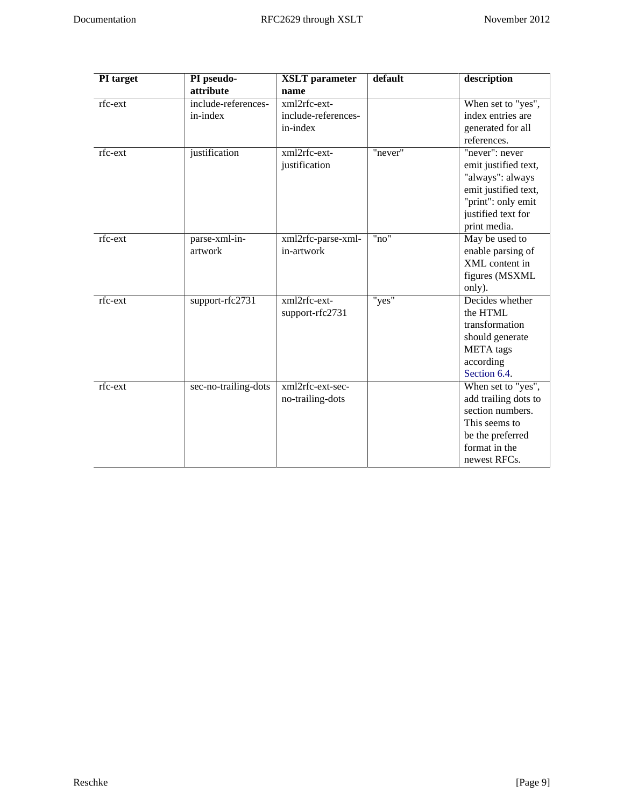| PI target | PI pseudo-           | <b>XSLT</b> parameter | default | description          |
|-----------|----------------------|-----------------------|---------|----------------------|
|           | attribute            | name                  |         |                      |
| rfc-ext   | include-references-  | xml2rfc-ext-          |         | When set to "yes",   |
|           | in-index             | include-references-   |         | index entries are    |
|           |                      | in-index              |         | generated for all    |
|           |                      |                       |         | references.          |
| rfc-ext   | justification        | xml2rfc-ext-          | "never" | "never": never       |
|           |                      | justification         |         | emit justified text, |
|           |                      |                       |         | "always": always     |
|           |                      |                       |         | emit justified text, |
|           |                      |                       |         | "print": only emit   |
|           |                      |                       |         | justified text for   |
|           |                      |                       |         | print media.         |
| rfc-ext   | parse-xml-in-        | xml2rfc-parse-xml-    | "no"    | May be used to       |
|           | artwork              | in-artwork            |         | enable parsing of    |
|           |                      |                       |         | XML content in       |
|           |                      |                       |         | figures (MSXML       |
|           |                      |                       |         | only).               |
| rfc-ext   | support-rfc2731      | xml2rfc-ext-          | "yes"   | Decides whether      |
|           |                      | support-rfc2731       |         | the HTML             |
|           |                      |                       |         | transformation       |
|           |                      |                       |         | should generate      |
|           |                      |                       |         | <b>META</b> tags     |
|           |                      |                       |         | according            |
|           |                      |                       |         | Section 6.4.         |
| rfc-ext   | sec-no-trailing-dots | xml2rfc-ext-sec-      |         | When set to "yes",   |
|           |                      | no-trailing-dots      |         | add trailing dots to |
|           |                      |                       |         | section numbers.     |
|           |                      |                       |         | This seems to        |
|           |                      |                       |         | be the preferred     |
|           |                      |                       |         | format in the        |
|           |                      |                       |         | newest RFCs.         |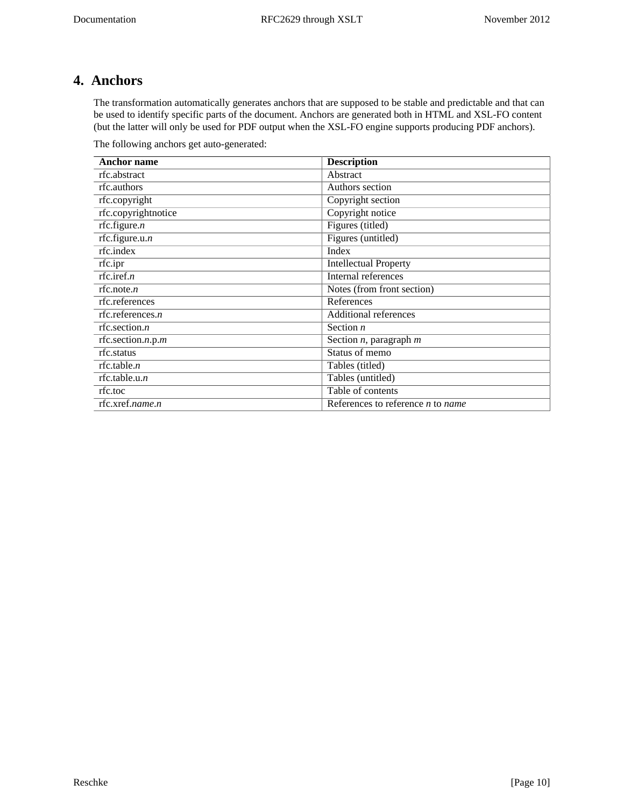# <span id="page-9-0"></span>**4. Anchors**

The transformation automatically generates anchors that are supposed to be stable and predictable and that can be used to identify specific parts of the document. Anchors are generated both in HTML and XSL-FO content (but the latter will only be used for PDF output when the XSL-FO engine supports producing PDF anchors).

<span id="page-9-1"></span>The following anchors get auto-generated:

| <b>Anchor name</b>  | <b>Description</b>                  |
|---------------------|-------------------------------------|
| rfc.abstract        | Abstract                            |
| rfc.authors         | Authors section                     |
| rfc.copyright       | Copyright section                   |
| rfc.copyrightnotice | Copyright notice                    |
| rfc.figure. $n$     | Figures (titled)                    |
| rfc.figure.u.n      | Figures (untitled)                  |
| rfc.index           | Index                               |
| rfc.ipr             | <b>Intellectual Property</b>        |
| rfc.iref.n          | Internal references                 |
| rfc.note.n          | Notes (from front section)          |
| rfc.references      | References                          |
| rfc.references. $n$ | <b>Additional references</b>        |
| rfc.section. $n$    | Section $n$                         |
| rfc.section.n.p.m   | Section $n$ , paragraph $m$         |
| rfc.status          | Status of memo                      |
| rfc.table.n         | Tables (titled)                     |
| rfc.table.u.n       | Tables (untitled)                   |
| rfc.toc             | Table of contents                   |
| rfc.xref.name.n     | References to reference $n$ to name |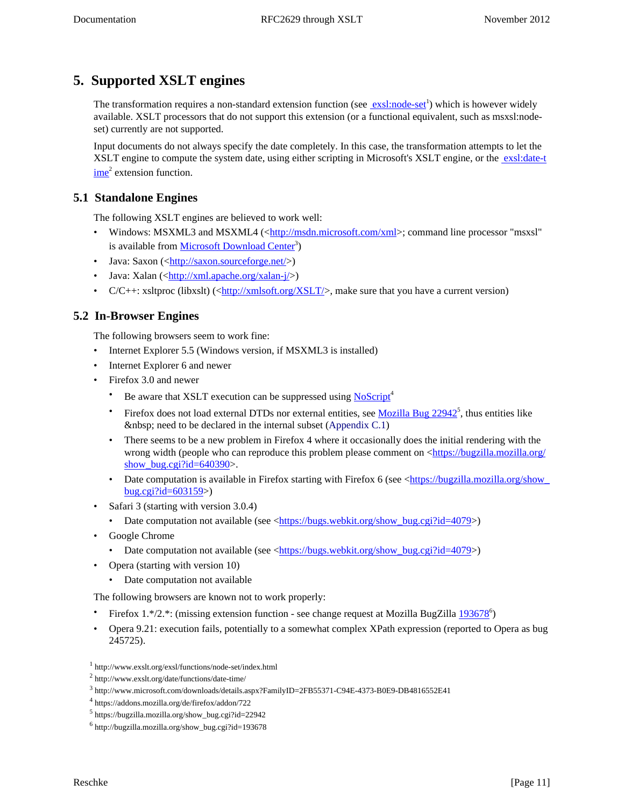# <span id="page-10-0"></span>**5. Supported XSLT engines**

The transformation requires a non-standard extension function (see **exsl:node-set**<sup>1</sup>) which is however widely available. XSLT processors that do not support this extension (or a functional equivalent, such as msxsl:nodeset) currently are not supported.

Input documents do not always specify the date completely. In this case, the transformation attempts to let the XSLT engine to compute the system date, using either scripting in Microsoft's XSLT engine, or the [exsl:date-t](http://www.exslt.org/date/functions/date-time/)  $\frac{\text{ime}}{\text{2}}$  $\frac{\text{ime}}{\text{2}}$  $\frac{\text{ime}}{\text{2}}$  extension function.

# <span id="page-10-1"></span>**5.1 Standalone Engines**

The following XSLT engines are believed to work well:

- <span id="page-10-8"></span>• Windows: MSXML3 and MSXML4 (<<http://msdn.microsoft.com/xml>>; command line processor "msxsl" is available from [Microsoft Download Center](http://www.microsoft.com/downloads/details.aspx?FamilyID=2FB55371-C94E-4373-B0E9-DB4816552E41)<sup>3</sup>)
- <span id="page-10-13"></span>• Java: Saxon  $(\langle \text{http://saxon.sourcefore.net/}\rangle)$
- <span id="page-10-14"></span>• Java: Xalan  $(\langle \frac{http://xml.apache.org/xalan-j}{\rangle})$
- $C/C++$ : xsltproc (libxslt) (<<http://xmlsoft.org/XSLT/>>, make sure that you have a current version)

## <span id="page-10-2"></span>**5.2 In-Browser Engines**

The following browsers seem to work fine:

- <span id="page-10-6"></span>• Internet Explorer 5.5 (Windows version, if MSXML3 is installed)
- <span id="page-10-7"></span>• Internet Explorer 6 and newer
- <span id="page-10-9"></span><span id="page-10-4"></span>• Firefox 3.0 and newer
	- Be aware that XSLT execution can be suppressed using [NoScript](https://addons.mozilla.org/de/firefox/addon/722)<sup>4</sup>
	- Firefox does not load external DTDs nor external entities, see  $Mozilla Bug 22942^5$ , thus entities like need to be declared in the internal subset (Appendix  $C.1$ )
	- There seems to be a new problem in Firefox 4 where it occasionally does the initial rendering with the wrong width (people who can reproduce this problem please comment on <[https://bugzilla.mozilla.org/](https://bugzilla.mozilla.org/show_bug.cgi?id=640390) show bug.cgi?id= $640390$ >.
	- Date computation is available in Firefox starting with Firefox 6 (see <https://bugzilla.mozilla.org/show [bug.cgi?id=603159>](https://bugzilla.mozilla.org/show_bug.cgi?id=603159))
- <span id="page-10-12"></span>• Safari 3 (starting with version 3.0.4)
	- Date computation not available (see <[https://bugs.webkit.org/show\\_bug.cgi?id=4079>](https://bugs.webkit.org/show_bug.cgi?id=4079))
- <span id="page-10-5"></span>• Google Chrome
	- Date computation not available (see <[https://bugs.webkit.org/show\\_bug.cgi?id=4079>](https://bugs.webkit.org/show_bug.cgi?id=4079))
- <span id="page-10-10"></span>• Opera (starting with version 10)
	- Date computation not available

The following browsers are known not to work properly:

- <span id="page-10-3"></span>• Firefox 1.\*/2.\*: (missing extension function - see change request at Mozilla BugZilla  $193678^{\circ}$ )
- <span id="page-10-11"></span>• Opera 9.21: execution fails, potentially to a somewhat complex XPath expression (reported to Opera as bug 245725).

<sup>1</sup> http://www.exslt.org/exsl/functions/node-set/index.html

<sup>2</sup> http://www.exslt.org/date/functions/date-time/

<sup>3</sup> http://www.microsoft.com/downloads/details.aspx?FamilyID=2FB55371-C94E-4373-B0E9-DB4816552E41

<sup>4</sup> https://addons.mozilla.org/de/firefox/addon/722

<sup>5</sup> https://bugzilla.mozilla.org/show\_bug.cgi?id=22942

<sup>6</sup> http://bugzilla.mozilla.org/show\_bug.cgi?id=193678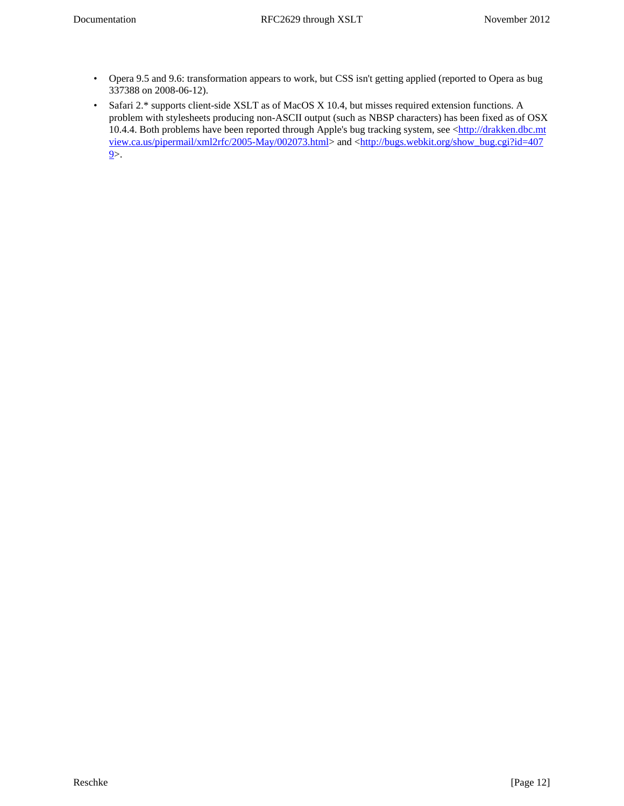- Opera 9.5 and 9.6: transformation appears to work, but CSS isn't getting applied (reported to Opera as bug 337388 on 2008-06-12).
- <span id="page-11-0"></span>• Safari 2.\* supports client-side XSLT as of MacOS X 10.4, but misses required extension functions. A problem with stylesheets producing non-ASCII output (such as NBSP characters) has been fixed as of OSX 10.4.4. Both problems have been reported through Apple's bug tracking system, see <[http://drakken.dbc.mt](http://drakken.dbc.mtview.ca.us/pipermail/xml2rfc/2005-May/002073.html) [view.ca.us/pipermail/xml2rfc/2005-May/002073.html>](http://drakken.dbc.mtview.ca.us/pipermail/xml2rfc/2005-May/002073.html) and <[http://bugs.webkit.org/show\\_bug.cgi?id=407](http://bugs.webkit.org/show_bug.cgi?id=4079)  $9$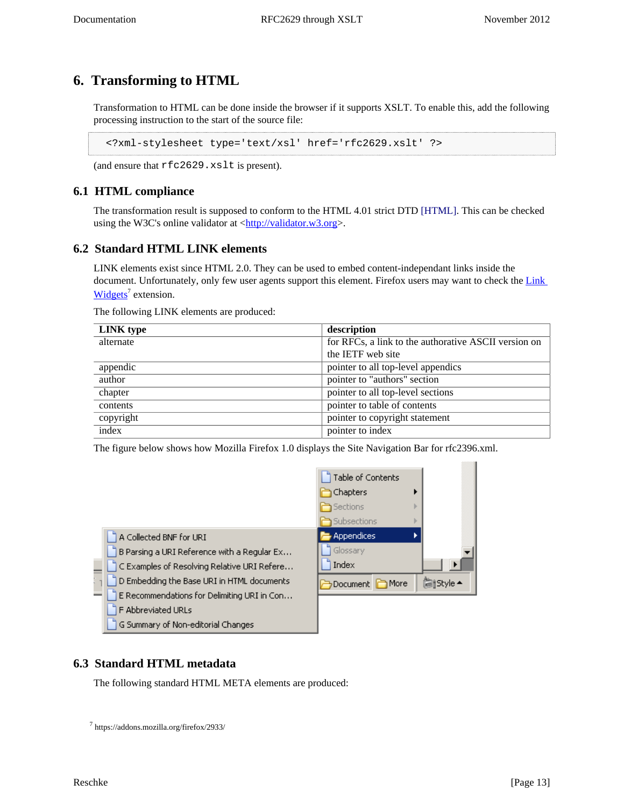# <span id="page-12-0"></span>**6. Transforming to HTML**

<span id="page-12-8"></span>Transformation to HTML can be done inside the browser if it supports XSLT. To enable this, add the following processing instruction to the start of the source file:

<span id="page-12-6"></span><?xml-stylesheet type='text/xsl' href='rfc2629.xslt' ?>

(and ensure that rfc2629.xslt is present).

## <span id="page-12-1"></span>**6.1 HTML compliance**

<span id="page-12-7"></span>The transformation result is supposed to conform to the HTML 4.01 strict DTD [\[HTML\]](#page-30-2). This can be checked using the W3C's online validator at [<http://validator.w3.org](http://validator.w3.org)>.

### <span id="page-12-2"></span>**6.2 Standard HTML LINK elements**

LINK elements exist since HTML 2.0. They can be used to embed content-independant links inside the document. Unfortunately, only few user agents support this element. Firefox users may want to check the Link [Widgets](https://addons.mozilla.org/firefox/2933/)<sup>7</sup> extension.

<span id="page-12-4"></span>The following LINK elements are produced:

| LINK type | description                                          |  |
|-----------|------------------------------------------------------|--|
| alternate | for RFCs, a link to the authorative ASCII version on |  |
|           | the IETF web site                                    |  |
| appendic  | pointer to all top-level appendics                   |  |
| author    | pointer to "authors" section                         |  |
| chapter   | pointer to all top-level sections                    |  |
| contents  | pointer to table of contents                         |  |
| copyright | pointer to copyright statement                       |  |
| index     | pointer to index                                     |  |

The figure below shows how Mozilla Firefox 1.0 displays the Site Navigation Bar for rfc2396.xml.



### <span id="page-12-3"></span>**6.3 Standard HTML metadata**

<span id="page-12-5"></span>The following standard HTML META elements are produced:

<sup>7</sup> https://addons.mozilla.org/firefox/2933/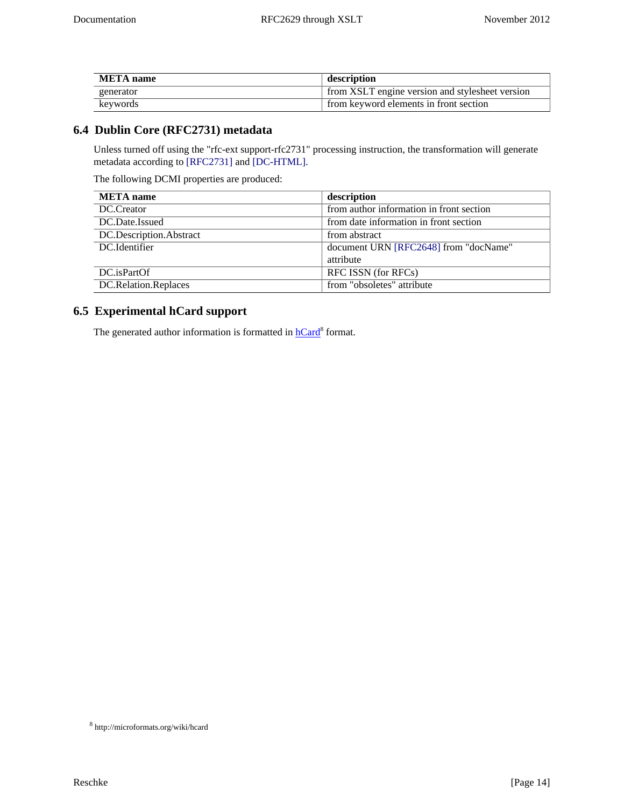| <b>META</b> name | description                                     |
|------------------|-------------------------------------------------|
| generator        | from XSLT engine version and stylesheet version |
| keywords         | from keyword elements in front section          |

# <span id="page-13-0"></span>**6.4 Dublin Core (RFC2731) metadata**

<span id="page-13-4"></span><span id="page-13-3"></span>Unless turned off using the "rfc-ext support-rfc2731" processing instruction, the transformation will generate metadata according to [\[RFC2731\]](#page-30-3) and [\[DC-HTML\]](#page-30-4).

<span id="page-13-2"></span>The following DCMI properties are produced:

| <b>META</b> name        | description                              |
|-------------------------|------------------------------------------|
| DC.Creator              | from author information in front section |
| DC.Date.Issued          | from date information in front section   |
| DC.Description.Abstract | from abstract                            |
| DC.Identifier           | document URN [RFC2648] from "docName"    |
|                         | attribute                                |
| DC.isPartOf             | RFC ISSN (for RFCs)                      |
| DC.Relation.Replaces    | from "obsoletes" attribute               |

# <span id="page-13-1"></span>**6.5 Experimental hCard support**

The generated author information is formatted in **hCard<sup>8</sup>** format.

<sup>8</sup> http://microformats.org/wiki/hcard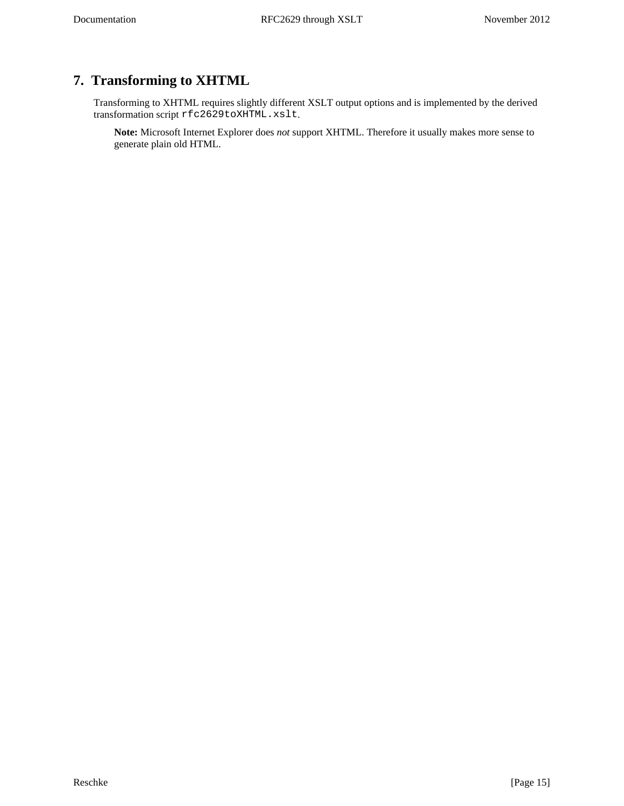# <span id="page-14-0"></span>**7. Transforming to XHTML**

Transforming to XHTML requires slightly different XSLT output options and is implemented by the derived transformation script rfc2629toXHTML.xslt.

**Note:** Microsoft Internet Explorer does *not* support XHTML. Therefore it usually makes more sense to generate plain old HTML.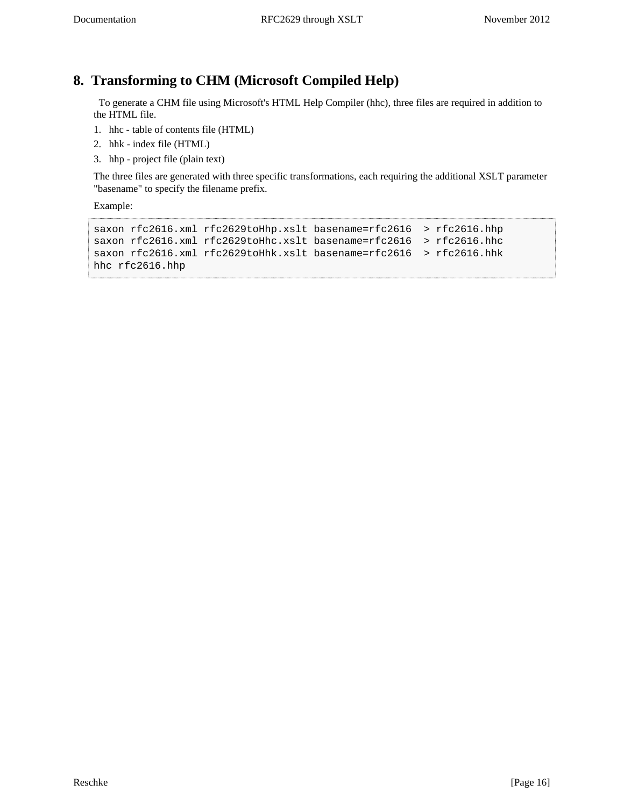# <span id="page-15-0"></span>**8. Transforming to CHM (Microsoft Compiled Help)**

<span id="page-15-2"></span><span id="page-15-1"></span> To generate a CHM file using Microsoft's HTML Help Compiler (hhc), three files are required in addition to the HTML file.

- 1. hhc table of contents file (HTML)
- 2. hhk index file (HTML)
- 3. hhp project file (plain text)

The three files are generated with three specific transformations, each requiring the additional XSLT parameter "basename" to specify the filename prefix.

Example:

```
saxon rfc2616.xml rfc2629toHhp.xslt basename=rfc2616 > rfc2616.hhp
saxon rfc2616.xml rfc2629toHhc.xslt basename=rfc2616 > rfc2616.hhc
saxon rfc2616.xml rfc2629toHhk.xslt basename=rfc2616 > rfc2616.hhk
hhc rfc2616.hhp
```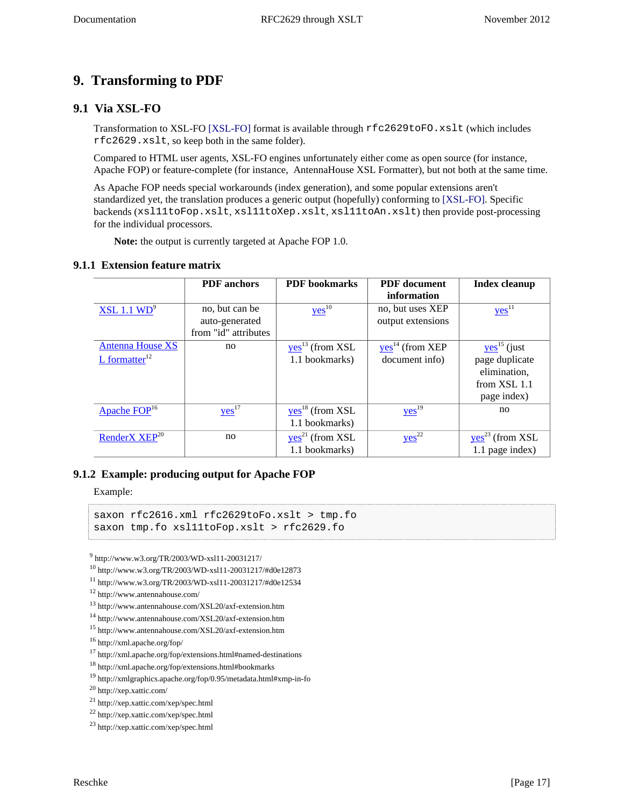# <span id="page-16-0"></span>**9. Transforming to PDF**

### <span id="page-16-1"></span>**9.1 Via XSL-FO**

<span id="page-16-7"></span>Transformation to XSL-FO [\[XSL-FO\]](#page-30-6) format is available through rfc2629toFO.xslt (which includes rfc2629.xslt, so keep both in the same folder).

<span id="page-16-6"></span>Compared to HTML user agents, XSL-FO engines unfortunately either come as open source (for instance, Apache FOP) or feature-complete (for instance, AntennaHouse XSL Formatter), but not both at the same time.

As Apache FOP needs special workarounds (index generation), and some popular extensions aren't standardized yet, the translation produces a generic output (hopefully) conforming to [\[XSL-FO\].](#page-30-6) Specific backends (xsl11toFop.xslt, xsl11toXep.xslt, xsl11toAn.xslt) then provide post-processing for the individual processors.

<span id="page-16-8"></span><span id="page-16-5"></span>**Note:** the output is currently targeted at Apache FOP 1.0.

#### <span id="page-16-2"></span>**9.1.1 Extension feature matrix**

|                             | <b>PDF</b> anchors   | <b>PDF</b> bookmarks | <b>PDF</b> document | <b>Index cleanup</b>      |
|-----------------------------|----------------------|----------------------|---------------------|---------------------------|
|                             |                      |                      | information         |                           |
| XSL 1.1 WD <sup>9</sup>     | no, but can be       | $yes$ <sup>10</sup>  | no, but uses XEP    | $yes$ <sup>11</sup>       |
|                             | auto-generated       |                      | output extensions   |                           |
|                             | from "id" attributes |                      |                     |                           |
| <b>Antenna House XS</b>     | no                   | $yes13$ (from XSL    | $yes14$ (from XEP   | $yes$ <sup>15</sup> (just |
| $L$ formatter <sup>12</sup> |                      | 1.1 bookmarks)       | document info)      | page duplicate            |
|                             |                      |                      |                     | elimination,              |
|                             |                      |                      |                     | from XSL 1.1              |
|                             |                      |                      |                     | page index)               |
| Apache FOP <sup>16</sup>    | $yes$ <sup>17</sup>  | $yes18$ (from XSL    | $yes$ <sup>19</sup> | no                        |
|                             |                      | 1.1 bookmarks)       |                     |                           |
| RenderX XEP <sup>20</sup>   | no                   | $yes21$ (from XSL    | $yes^{22}$          | $yes23$ (from XSL         |
|                             |                      | 1.1 bookmarks)       |                     | 1.1 page index)           |

#### <span id="page-16-3"></span>**9.1.2 Example: producing output for Apache FOP**

Example:

```
saxon rfc2616.xml rfc2629toFo.xslt > tmp.fo
saxon tmp.fo xsl11toFop.xslt > rfc2629.fo
```
<span id="page-16-4"></span>9 http://www.w3.org/TR/2003/WD-xsl11-20031217/

```
10 http://www.w3.org/TR/2003/WD-xsl11-20031217/#d0e12873
```
<sup>11</sup> http://www.w3.org/TR/2003/WD-xsl11-20031217/#d0e12534

```
12 http://www.antennahouse.com/
```

```
13 http://www.antennahouse.com/XSL20/axf-extension.htm
```

```
14 http://www.antennahouse.com/XSL20/axf-extension.htm
```
<sup>15</sup> http://www.antennahouse.com/XSL20/axf-extension.htm

<sup>16</sup> http://xml.apache.org/fop/

<sup>17</sup> http://xml.apache.org/fop/extensions.html#named-destinations

<sup>18</sup> http://xml.apache.org/fop/extensions.html#bookmarks

<sup>19</sup> http://xmlgraphics.apache.org/fop/0.95/metadata.html#xmp-in-fo

<sup>20</sup> http://xep.xattic.com/

<sup>21</sup> http://xep.xattic.com/xep/spec.html

<sup>22</sup> http://xep.xattic.com/xep/spec.html

<sup>23</sup> http://xep.xattic.com/xep/spec.html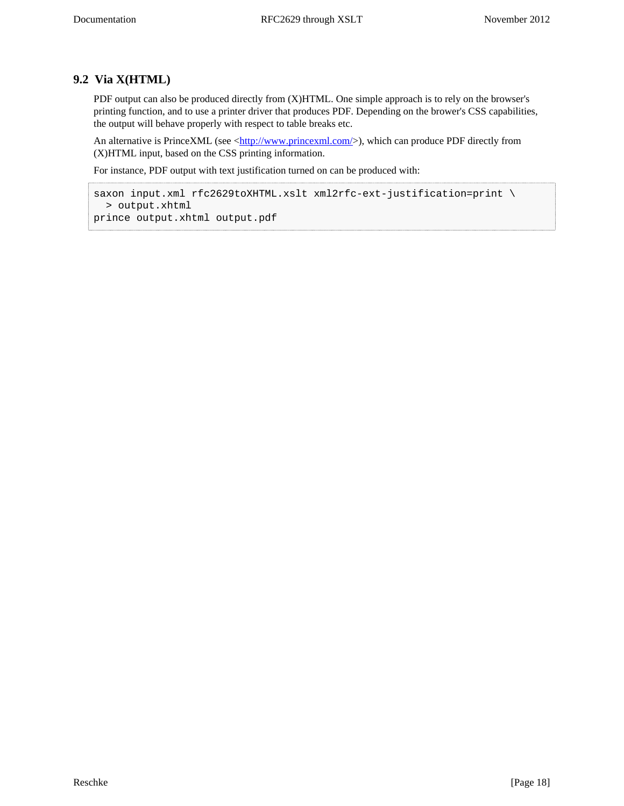## **9.2 Via X(HTML)**

PDF output can also be produced directly from (X)HTML. One simple approach is to rely on the browser's printing function, and to use a printer driver that produces PDF. Depending on the brower's CSS capabilities, the output will behave properly with respect to table breaks etc.

An alternative is PrinceXML (see [<http://www.princexml.com/](http://www.princexml.com/)>), which can produce PDF directly from (X)HTML input, based on the CSS printing information.

For instance, PDF output with text justification turned on can be produced with:

```
saxon input.xml rfc2629toXHTML.xslt xml2rfc-ext-justification=print \
   > output.xhtml
prince output.xhtml output.pdf
```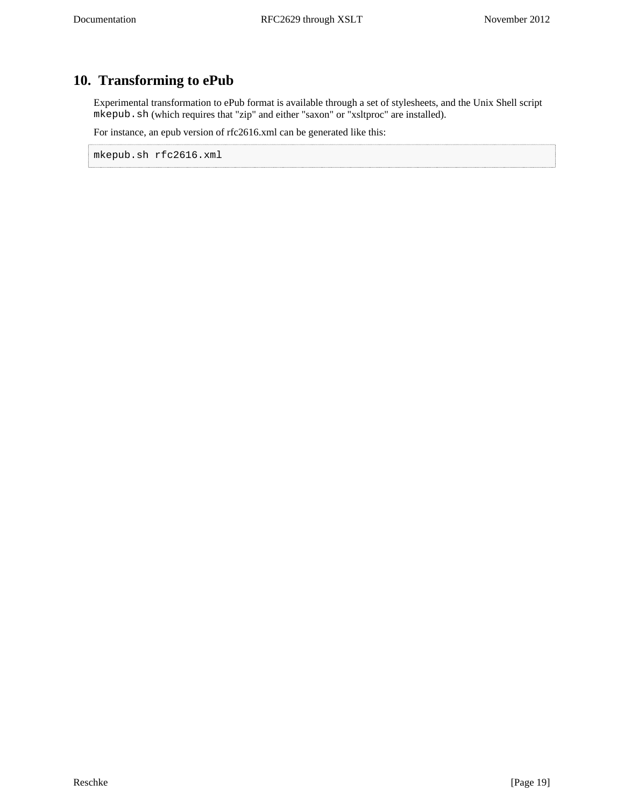# <span id="page-18-0"></span>**10. Transforming to ePub**

Experimental transformation to ePub format is available through a set of stylesheets, and the Unix Shell script mkepub.sh (which requires that "zip" and either "saxon" or "xsltproc" are installed).

For instance, an epub version of rfc2616.xml can be generated like this:

mkepub.sh rfc2616.xml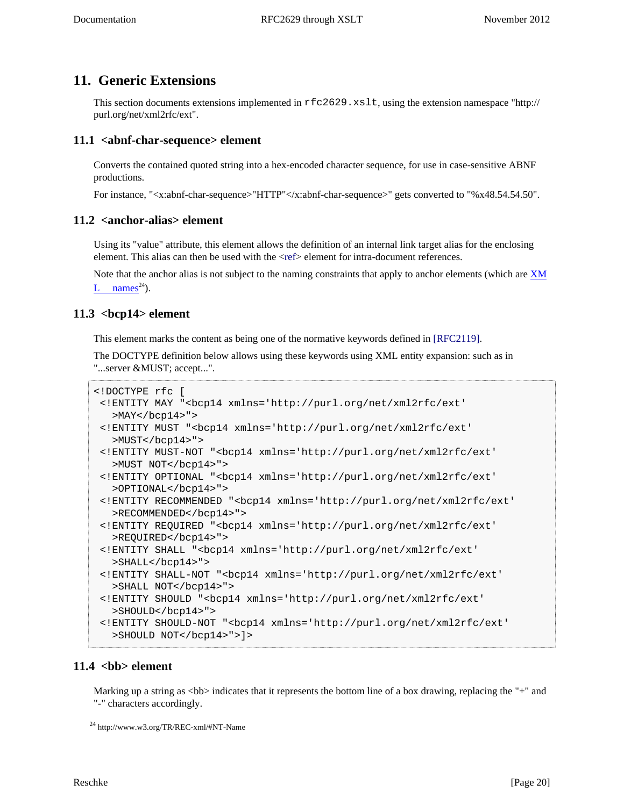# <span id="page-19-0"></span>**11. Generic Extensions**

This section documents extensions implemented in rfc2629.xslt, using the extension namespace "http:// purl.org/net/xml2rfc/ext".

### <span id="page-19-5"></span><span id="page-19-1"></span>**11.1 <abnf-char-sequence> element**

Converts the contained quoted string into a hex-encoded character sequence, for use in case-sensitive ABNF productions.

For instance, "<x:abnf-char-sequence>"HTTP"</x:abnf-char-sequence>" gets converted to "%x48.54.54.50".

### <span id="page-19-6"></span><span id="page-19-2"></span>**11.2 <anchor-alias> element**

Using its "value" attribute, this element allows the definition of an internal link target alias for the enclosing element. This alias can then be used with the [<ref](#page-22-1)> element for intra-document references.

Note that the anchor alias is not subject to the naming constraints that apply to anchor elements (which are  $X\overline{M}$ [L names](http://www.w3.org/TR/REC-xml/#NT-Name)<sup>24</sup>).

### <span id="page-19-8"></span><span id="page-19-3"></span>**11.3 <bcp14> element**

<span id="page-19-9"></span>This element marks the content as being one of the normative keywords defined in [\[RFC2119\].](#page-30-7)

The DOCTYPE definition below allows using these keywords using XML entity expansion: such as in "...server &MUST; accept...".

```
<!DOCTYPE rfc [
  <!ENTITY MAY "<bcp14 xmlns='http://purl.org/net/xml2rfc/ext'
   >MAY</math> < /bcp14 > " >
  <!ENTITY MUST "<bcp14 xmlns='http://purl.org/net/xml2rfc/ext'
    >MUST</bcp14>">
  <!ENTITY MUST-NOT "<bcp14 xmlns='http://purl.org/net/xml2rfc/ext'
   >MUST NOT</bcp14>">
  <!ENTITY OPTIONAL "<bcp14 xmlns='http://purl.org/net/xml2rfc/ext'
    >OPTIONAL</bcp14>">
  <!ENTITY RECOMMENDED "<bcp14 xmlns='http://purl.org/net/xml2rfc/ext'
   >RECOMMENDED</bcp14>">
  <!ENTITY REQUIRED "<bcp14 xmlns='http://purl.org/net/xml2rfc/ext'
    >REQUIRED</bcp14>">
  <!ENTITY SHALL "<bcp14 xmlns='http://purl.org/net/xml2rfc/ext'
    >SHALL</bcp14>">
  <!ENTITY SHALL-NOT "<bcp14 xmlns='http://purl.org/net/xml2rfc/ext'
    >SHALL NOT</bcp14>">
  <!ENTITY SHOULD "<bcp14 xmlns='http://purl.org/net/xml2rfc/ext'
    >SHOULD</bcp14>">
  <!ENTITY SHOULD-NOT "<bcp14 xmlns='http://purl.org/net/xml2rfc/ext'
    >SHOULD NOT</bcp14>">]>
```
### <span id="page-19-7"></span><span id="page-19-4"></span>11.4 <br/>bb> element

Marking up a string as  **indicates that it represents the bottom line of a box drawing, replacing the "+" and** "-" characters accordingly.

<sup>24</sup> http://www.w3.org/TR/REC-xml/#NT-Name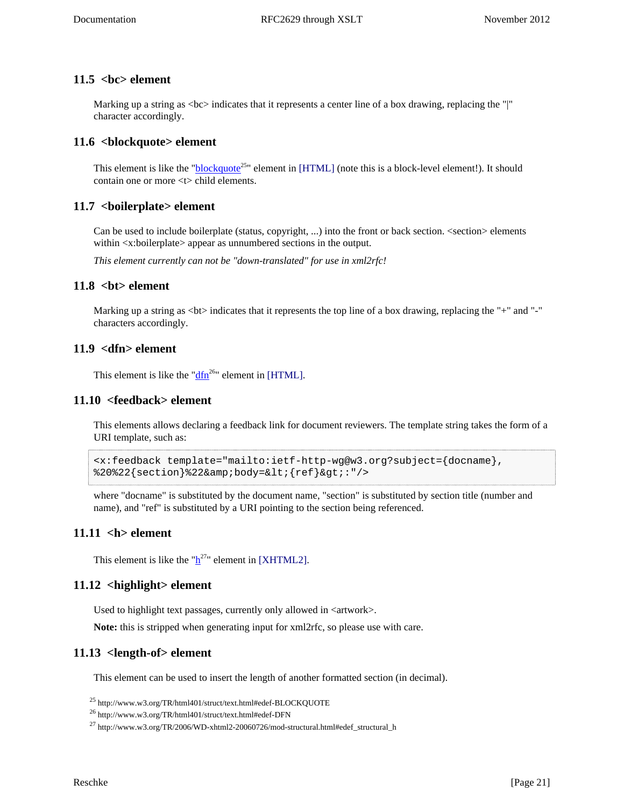### <span id="page-20-9"></span><span id="page-20-0"></span>**11.5 <bc> element**

Marking up a string as  $\langle$ bc $>$  indicates that it represents a center line of a box drawing, replacing the "|" character accordingly.

### <span id="page-20-10"></span><span id="page-20-1"></span>**11.6 <blockquote> element**

<span id="page-20-18"></span>This element is like the "**[blockquote](http://www.w3.org/TR/html401/struct/text.html#edef-BLOCKQUOTE)**<sup>25</sup>" element in [\[HTML\]](#page-30-2) (note this is a block-level element!). It should contain one or more <t> child elements.

### <span id="page-20-11"></span><span id="page-20-2"></span>**11.7 <boilerplate> element**

Can be used to include boilerplate (status, copyright, ...) into the front or back section. <section> elements within <x:boilerplate> appear as unnumbered sections in the output.

*This element currently can not be "down-translated" for use in xml2rfc!*

### <span id="page-20-12"></span><span id="page-20-3"></span>**11.8 <bt> element**

Marking up a string as  **indicates that it represents the top line of a box drawing, replacing the "+" and "-"** characters accordingly.

### <span id="page-20-13"></span><span id="page-20-4"></span>**11.9 <dfn> element**

<span id="page-20-19"></span>This element is like the " $\frac{dfn^{26}}{dt}$  $\frac{dfn^{26}}{dt}$  $\frac{dfn^{26}}{dt}$ " element in [\[HTML\]](#page-30-2).

### <span id="page-20-14"></span><span id="page-20-5"></span>**11.10 <feedback> element**

This elements allows declaring a feedback link for document reviewers. The template string takes the form of a URI template, such as:

```
<x:feedback template="mailto:ietf-http-wg@w3.org?subject={docname},
82022{section}822&body=<{ref}&gt;:"/>
```
where "docname" is substituted by the document name, "section" is substituted by section title (number and name), and "ref" is substituted by a URI pointing to the section being referenced.

### <span id="page-20-15"></span><span id="page-20-6"></span>**11.11 <h> element**

<span id="page-20-20"></span>T[h](http://www.w3.org/TR/2006/WD-xhtml2-20060726/mod-structural.html#edef_structural_h)is element is like the " $h^{27}$ " element in [\[XHTML2\]](#page-30-8).

### <span id="page-20-16"></span><span id="page-20-7"></span>**11.12 <highlight> element**

Used to highlight text passages, currently only allowed in <artwork>.

**Note:** this is stripped when generating input for xml2rfc, so please use with care.

### <span id="page-20-17"></span><span id="page-20-8"></span>**11.13 <length-of> element**

This element can be used to insert the length of another formatted section (in decimal).

<sup>25</sup> http://www.w3.org/TR/html401/struct/text.html#edef-BLOCKQUOTE

 $^{27}$  http://www.w3.org/TR/2006/WD-xhtml2-20060726/mod-structural.html#edef\_structural\_h

<sup>26</sup> http://www.w3.org/TR/html401/struct/text.html#edef-DFN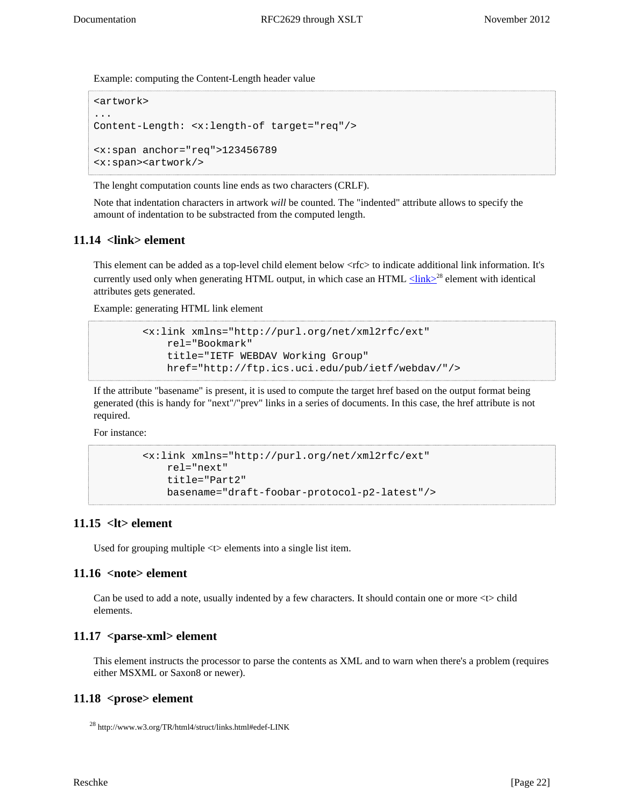Example: computing the Content-Length header value

```
<artwork>
...
Content-Length: <x:length-of target="req"/>
<x:span anchor="req">123456789
<x:span><artwork/>
```
The lenght computation counts line ends as two characters (CRLF).

Note that indentation characters in artwork *will* be counted. The "indented" attribute allows to specify the amount of indentation to be substracted from the computed length.

### <span id="page-21-5"></span><span id="page-21-0"></span>**11.14 <link> element**

This element can be added as a top-level child element below <rfc> to indicate additional link information. It's currently used only when generating HTML output, in which case an HTML  $\leq$ link $\geq$ <sup>28</sup> element with identical attributes gets generated.

Example: generating HTML link element

```
 <x:link xmlns="http://purl.org/net/xml2rfc/ext"
    rel="Bookmark"
    title="IETF WEBDAV Working Group"
    href="http://ftp.ics.uci.edu/pub/ietf/webdav/"/>
```
If the attribute "basename" is present, it is used to compute the target href based on the output format being generated (this is handy for "next"/"prev" links in a series of documents. In this case, the href attribute is not required.

For instance:

```
 <x:link xmlns="http://purl.org/net/xml2rfc/ext"
    rel="next"
    title="Part2"
    basename="draft-foobar-protocol-p2-latest"/>
```
### <span id="page-21-1"></span>**11.15 <lt> element**

<span id="page-21-6"></span>Used for grouping multiple <t> elements into a single list item.

### <span id="page-21-7"></span><span id="page-21-2"></span>**11.16 <note> element**

Can be used to add a note, usually indented by a few characters. It should contain one or more <t> child elements.

### <span id="page-21-8"></span><span id="page-21-3"></span>**11.17 <parse-xml> element**

This element instructs the processor to parse the contents as XML and to warn when there's a problem (requires either MSXML or Saxon8 or newer).

### <span id="page-21-4"></span>**11.18 <prose> element**

```
28 http://www.w3.org/TR/html4/struct/links.html#edef-LINK
```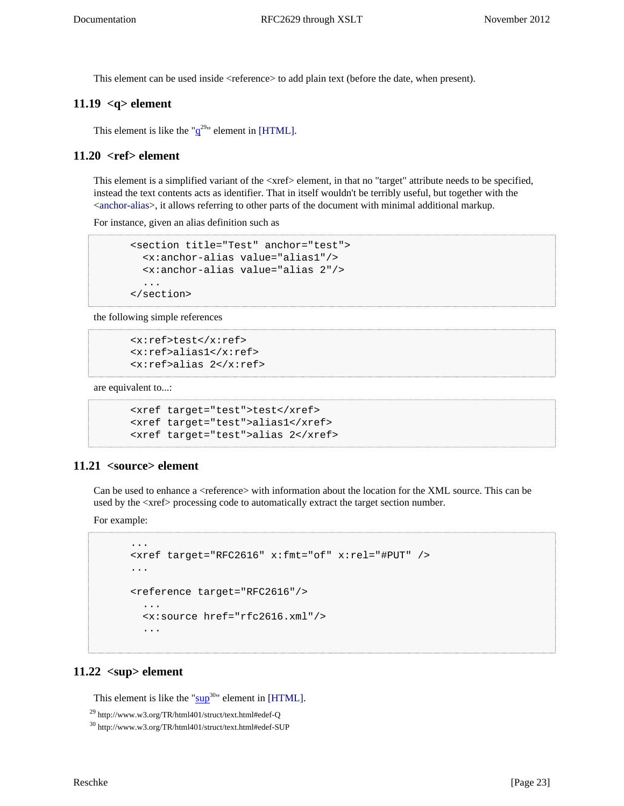This element can be used inside <reference> to add plain text (before the date, when present).

### <span id="page-22-4"></span><span id="page-22-0"></span>**11.19 <q> element**

<span id="page-22-8"></span>This element is like the " $q^{29}$  $q^{29}$ " element in [\[HTML\].](#page-30-2)

### <span id="page-22-5"></span><span id="page-22-1"></span>**11.20 <ref> element**

This element is a simplified variant of the <xref> element, in that no "target" attribute needs to be specified, instead the text contents acts as identifier. That in itself wouldn't be terribly useful, but together with the <[anchor-alias>](#page-19-2), it allows referring to other parts of the document with minimal additional markup.

For instance, given an alias definition such as

```
 <section title="Test" anchor="test">
   <x:anchor-alias value="alias1"/>
   <x:anchor-alias value="alias 2"/>
   ...
 </section>
```
the following simple references

```
 <x:ref>test</x:ref>
 <x:ref>alias1</x:ref>
 <x:ref>alias 2</x:ref>
```
are equivalent to...:

```
 <xref target="test">test</xref>
 <xref target="test">alias1</xref>
 <xref target="test">alias 2</xref>
```
### <span id="page-22-2"></span>**11.21 <source> element**

<span id="page-22-6"></span>Can be used to enhance a <reference> with information about the location for the XML source. This can be used by the <xref> processing code to automatically extract the target section number.

For example:

```
 ...
 <xref target="RFC2616" x:fmt="of" x:rel="#PUT" />
 ...
 <reference target="RFC2616"/>
   ...
   <x:source href="rfc2616.xml"/>
   ...
```
### <span id="page-22-7"></span><span id="page-22-3"></span> $11.22$   $<sup>2</sup>$  element</sup>

<span id="page-22-9"></span>This element is like the " $\frac{\text{sup}}{20}$  $\frac{\text{sup}}{20}$  $\frac{\text{sup}}{20}$ " element in [\[HTML\].](#page-30-2)

<sup>29</sup> http://www.w3.org/TR/html401/struct/text.html#edef-Q

<sup>30</sup> http://www.w3.org/TR/html401/struct/text.html#edef-SUP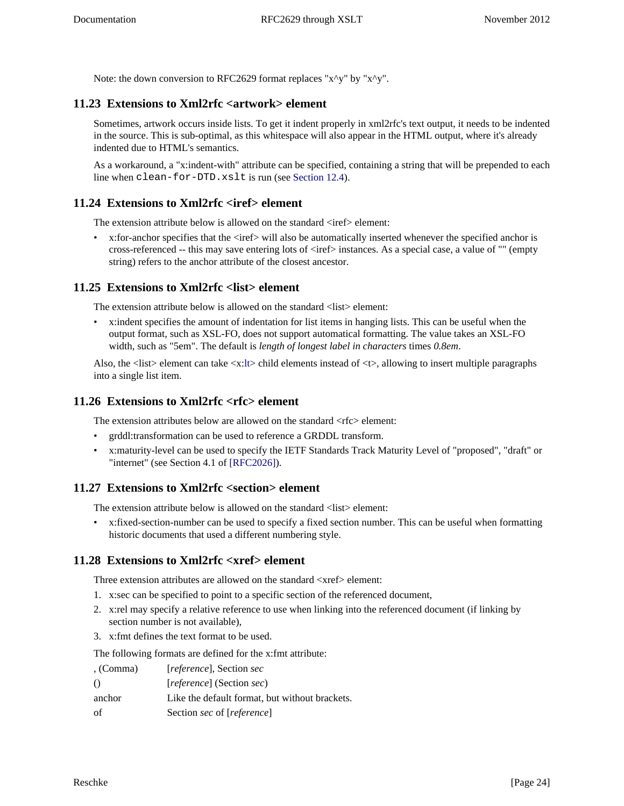Note: the down conversion to RFC2629 format replaces "x^y" by "x^y".

## <span id="page-23-0"></span>**11.23 Extensions to Xml2rfc <artwork> element**

Sometimes, artwork occurs inside lists. To get it indent properly in xml2rfc's text output, it needs to be indented in the source. This is sub-optimal, as this whitespace will also appear in the HTML output, where it's already indented due to HTML's semantics.

As a workaround, a "x:indent-with" attribute can be specified, containing a string that will be prepended to each line when clean-for-DTD.xslt is run (see [Section 12.4\)](#page-28-0).

### <span id="page-23-1"></span>**11.24 Extensions to Xml2rfc <iref> element**

The extension attribute below is allowed on the standard  $\langle$ iref $\rangle$  element:

•  $x:$  for-anchor specifies that the  $\langle$ iref $\rangle$  will also be automatically inserted whenever the specified anchor is cross-referenced -- this may save entering lots of <iref> instances. As a special case, a value of "" (empty string) refers to the anchor attribute of the closest ancestor.

### <span id="page-23-2"></span>**11.25 Extensions to Xml2rfc <list> element**

The extension attribute below is allowed on the standard <list>element:

• x:indent specifies the amount of indentation for list items in hanging lists. This can be useful when the output format, such as XSL-FO, does not support automatical formatting. The value takes an XSL-FO width, such as "5em". The default is *length of longest label in characters* times *0.8em*.

Also, the  $\langle$ list $\rangle$  element can take  $\langle x:$ [lt](#page-21-1) $\rangle$ child elements instead of  $\langle t \rangle$ , allowing to insert multiple paragraphs into a single list item.

### <span id="page-23-3"></span>**11.26 Extensions to Xml2rfc <rfc> element**

The extension attributes below are allowed on the standard  $\langle$ rfc $>$  element:

- grddl:transformation can be used to reference a GRDDL transform.
- <span id="page-23-6"></span>• x:maturity-level can be used to specify the IETF Standards Track Maturity Level of "proposed", "draft" or "internet" (see Section 4.1 of [\[RFC2026\]\)](#page-30-9).

### <span id="page-23-4"></span>**11.27 Extensions to Xml2rfc <section> element**

The extension attribute below is allowed on the standard <list> element:

• x:fixed-section-number can be used to specify a fixed section number. This can be useful when formatting historic documents that used a different numbering style.

### <span id="page-23-5"></span>**11.28 Extensions to Xml2rfc <xref> element**

Three extension attributes are allowed on the standard  $\langle x \rangle$  element:

- 1. x:sec can be specified to point to a specific section of the referenced document,
- 2. x:rel may specify a relative reference to use when linking into the referenced document (if linking by section number is not available),
- 3. x:fmt defines the text format to be used.

The following formats are defined for the x:fmt attribute:

| , (Comma)        | <i>reference</i> , Section sec                 |
|------------------|------------------------------------------------|
| $\left( \right)$ | <i>reference</i> (Section <i>sec</i> )         |
| anchor           | Like the default format, but without brackets. |
| of               | Section sec of [reference]                     |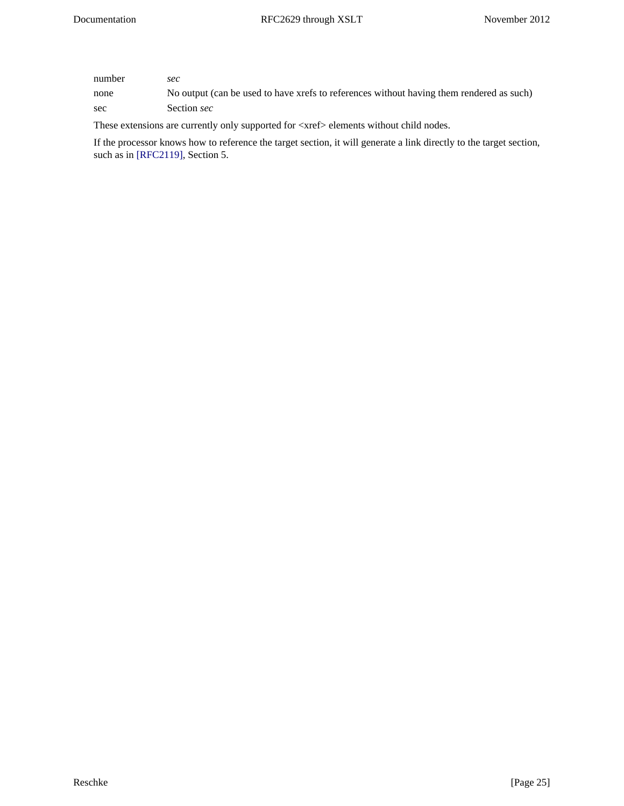| number | sec                                                                                      |
|--------|------------------------------------------------------------------------------------------|
| none   | No output (can be used to have xrefs to references without having them rendered as such) |
| sec    | Section sec                                                                              |

These extensions are currently only supported for <xref> elements without child nodes.

<span id="page-24-0"></span>If the processor knows how to reference the target section, it will generate a link directly to the target section, such as in [\[RFC2119\],](#page-30-7) Section 5.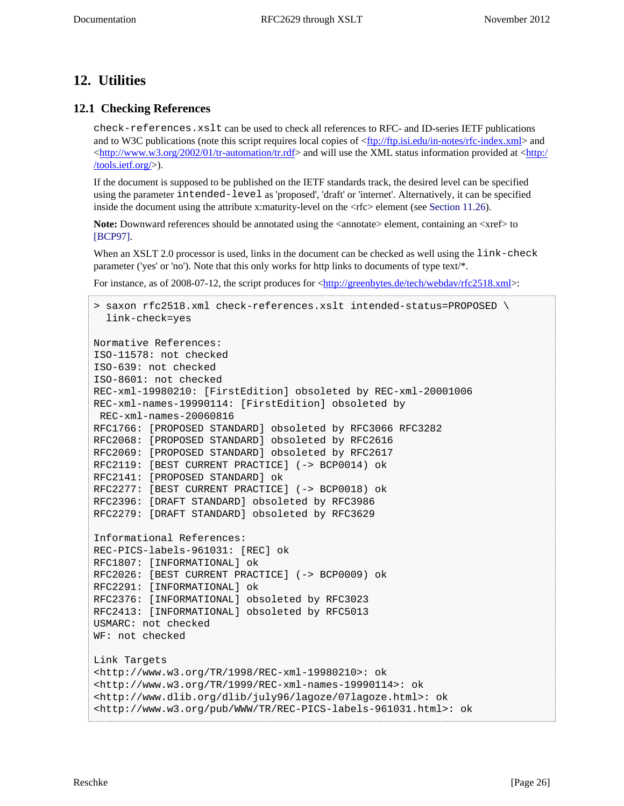# <span id="page-25-0"></span>**12. Utilities**

### <span id="page-25-1"></span>**12.1 Checking References**

check-references.xslt can be used to check all references to RFC- and ID-series IETF publications and to W3C publications (note this script requires local copies of [<ftp://ftp.isi.edu/in-notes/rfc-index.xml](ftp://ftp.isi.edu/in-notes/rfc-index.xml)> and  $\langle \text{http://www.w3.org/2002/01/tr-automation/tr.rdf} \rangle$  and will use the XML status information provided at  $\langle \text{http://www.w3.org/2002/01/tr-automation/tr.rdf} \rangle$  and will use the XML status information provided at  $\langle \text{http://www.w3.org/2002/01/tr-automation/tr.rdf} \rangle$ [/tools.ietf.org/>](http://tools.ietf.org/)).

If the document is supposed to be published on the IETF standards track, the desired level can be specified using the parameter intended-level as 'proposed', 'draft' or 'internet'. Alternatively, it can be specified inside the document using the attribute x:maturity-level on the  $\langle$ rfc> element (see [Section 11.26\)](#page-23-3).

<span id="page-25-2"></span>**Note:** Downward references should be annotated using the  $\alpha$   $\alpha$  element, containing an  $\alpha$ xref $\alpha$  to [\[BCP97\].](#page-30-10)

When an XSLT 2.0 processor is used, links in the document can be checked as well using the link-check parameter ('yes' or 'no'). Note that this only works for http links to documents of type text/\*.

For instance, as of 2008-07-12, the script produces for  $\frac{\text{http://greenbytes.de/tech/webday/rfc2518.xml}}{$ :

```
> saxon rfc2518.xml check-references.xslt intended-status=PROPOSED \
   link-check=yes
Normative References:
ISO-11578: not checked
ISO-639: not checked
ISO-8601: not checked
REC-xml-19980210: [FirstEdition] obsoleted by REC-xml-20001006
REC-xml-names-19990114: [FirstEdition] obsoleted by
 REC-xml-names-20060816
RFC1766: [PROPOSED STANDARD] obsoleted by RFC3066 RFC3282
RFC2068: [PROPOSED STANDARD] obsoleted by RFC2616
RFC2069: [PROPOSED STANDARD] obsoleted by RFC2617
RFC2119: [BEST CURRENT PRACTICE] (-> BCP0014) ok
RFC2141: [PROPOSED STANDARD] ok
RFC2277: [BEST CURRENT PRACTICE] (-> BCP0018) ok
RFC2396: [DRAFT STANDARD] obsoleted by RFC3986
RFC2279: [DRAFT STANDARD] obsoleted by RFC3629
Informational References:
REC-PICS-labels-961031: [REC] ok
RFC1807: [INFORMATIONAL] ok
RFC2026: [BEST CURRENT PRACTICE] (-> BCP0009) ok
RFC2291: [INFORMATIONAL] ok
RFC2376: [INFORMATIONAL] obsoleted by RFC3023
RFC2413: [INFORMATIONAL] obsoleted by RFC5013
USMARC: not checked
WF: not checked
Link Targets
<http://www.w3.org/TR/1998/REC-xml-19980210>: ok
<http://www.w3.org/TR/1999/REC-xml-names-19990114>: ok
<http://www.dlib.org/dlib/july96/lagoze/07lagoze.html>: ok
<http://www.w3.org/pub/WWW/TR/REC-PICS-labels-961031.html>: ok
```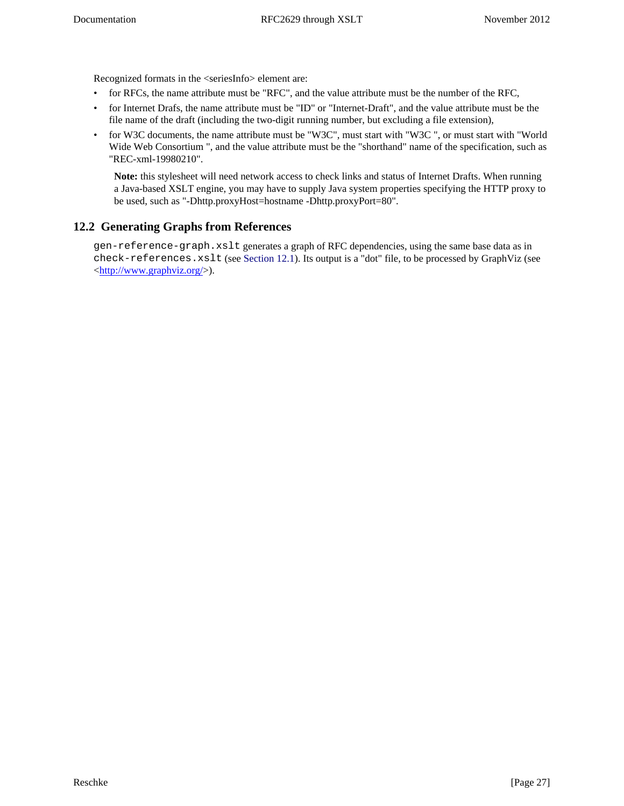Recognized formats in the <seriesInfo> element are:

- for RFCs, the name attribute must be "RFC", and the value attribute must be the number of the RFC,
- for Internet Drafs, the name attribute must be "ID" or "Internet-Draft", and the value attribute must be the file name of the draft (including the two-digit running number, but excluding a file extension),
- for W3C documents, the name attribute must be "W3C", must start with "W3C ", or must start with "World Wide Web Consortium ", and the value attribute must be the "shorthand" name of the specification, such as "REC-xml-19980210".

**Note:** this stylesheet will need network access to check links and status of Internet Drafts. When running a Java-based XSLT engine, you may have to supply Java system properties specifying the HTTP proxy to be used, such as "-Dhttp.proxyHost=hostname -Dhttp.proxyPort=80".

## <span id="page-26-0"></span>**12.2 Generating Graphs from References**

gen-reference-graph.xslt generates a graph of RFC dependencies, using the same base data as in check-references.xslt (see [Section 12.1](#page-25-1)). Its output is a "dot" file, to be processed by GraphViz (see <<http://www.graphviz.org/>>).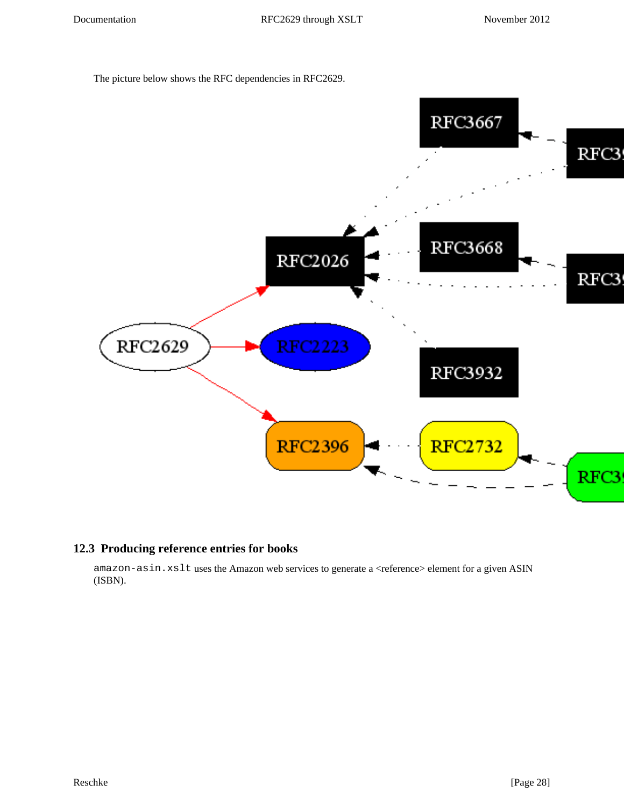The picture below shows the RFC dependencies in RFC2629.



### <span id="page-27-0"></span>**12.3 Producing reference entries for books**

amazon-asin.xslt uses the Amazon web services to generate a <reference> element for a given ASIN (ISBN).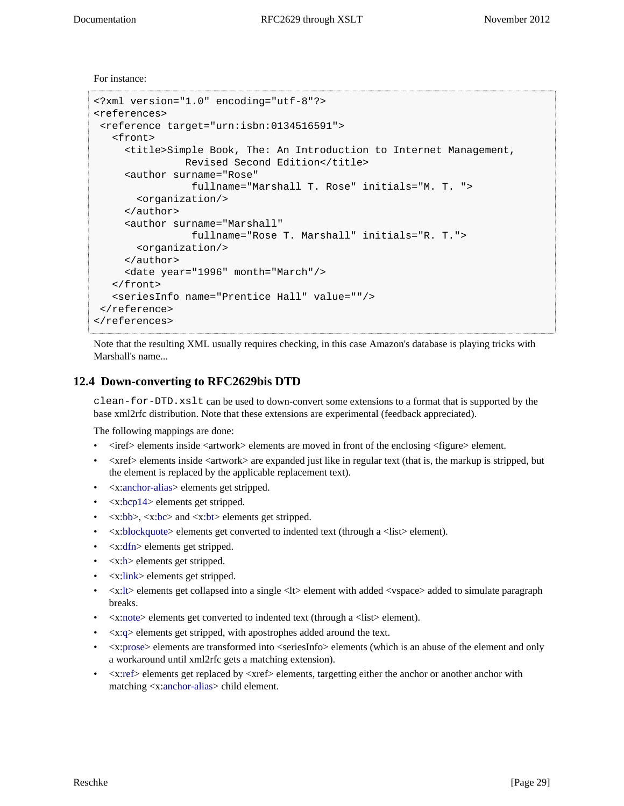For instance:

```
<?xml version="1.0" encoding="utf-8"?>
<references>
  <reference target="urn:isbn:0134516591">
    <front>
      <title>Simple Book, The: An Introduction to Internet Management,
               Revised Second Edition</title>
      <author surname="Rose"
                 fullname="Marshall T. Rose" initials="M. T. ">
        <organization/>
      </author>
      <author surname="Marshall"
                 fullname="Rose T. Marshall" initials="R. T.">
        <organization/>
      </author>
      <date year="1996" month="March"/>
    </front>
    <seriesInfo name="Prentice Hall" value=""/>
  </reference>
</references>
```
Note that the resulting XML usually requires checking, in this case Amazon's database is playing tricks with Marshall's name...

### <span id="page-28-0"></span>**12.4 Down-converting to RFC2629bis DTD**

clean-for-DTD.xslt can be used to down-convert some extensions to a format that is supported by the base xml2rfc distribution. Note that these extensions are experimental (feedback appreciated).

The following mappings are done:

- <iref> elements inside <artwork> elements are moved in front of the enclosing <figure> element.
- <xref> elements inside <artwork> are expanded just like in regular text (that is, the markup is stripped, but the element is replaced by the applicable replacement text).
- <x[:anchor-alias](#page-19-2)> elements get stripped.
- $\langle x:bcp14\rangle$  elements get stripped.
- $\langle x:bb \rangle, \langle x:bc \rangle$  $\langle x:bb \rangle, \langle x:bc \rangle$  $\langle x:bb \rangle, \langle x:bc \rangle$  and  $\langle x:bt \rangle$  $\langle x:bt \rangle$  $\langle x:bt \rangle$  elements get stripped.
- <x[:blockquote>](#page-20-1) elements get converted to indented text (through a <list> element).
- <x[:dfn>](#page-20-4) elements get stripped.
- $\langle x: h \rangle$  elements get stripped.
- <x[:link>](#page-21-0) elements get stripped.
- $\langle x: l \rangle$  elements get collapsed into a single  $\langle l \rangle$  element with added  $\langle v \rangle$  and  $\langle v \rangle$  and  $\langle v \rangle$  is a simulate paragraph breaks.
- <x[:note>](#page-21-2) elements get converted to indented text (through a <list> element).
- <x[:q](#page-22-0)> elements get stripped, with apostrophes added around the text.
- $\leq$ x[:prose](#page-21-4)> elements are transformed into  $\leq$ seriesInfo> elements (which is an abuse of the element and only a workaround until xml2rfc gets a matching extension).
- <span id="page-28-1"></span>• <x[:ref>](#page-22-1) elements get replaced by <xref> elements, targetting either the anchor or another anchor with matching <x[:anchor-alias](#page-19-2)> child element.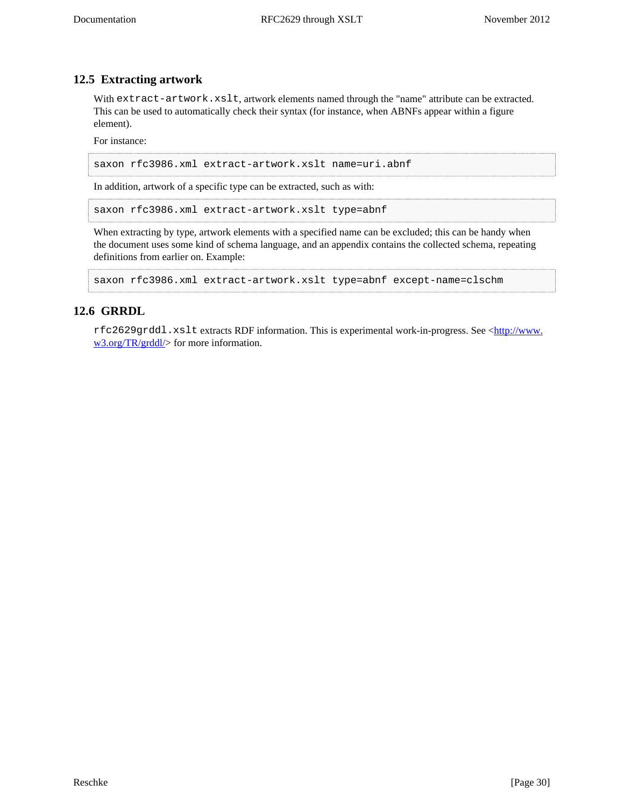### **12.5 Extracting artwork**

With extract-artwork.xslt, artwork elements named through the "name" attribute can be extracted. This can be used to automatically check their syntax (for instance, when ABNFs appear within a figure element).

For instance:

saxon rfc3986.xml extract-artwork.xslt name=uri.abnf

In addition, artwork of a specific type can be extracted, such as with:

saxon rfc3986.xml extract-artwork.xslt type=abnf

When extracting by type, artwork elements with a specified name can be excluded; this can be handy when the document uses some kind of schema language, and an appendix contains the collected schema, repeating definitions from earlier on. Example:

```
saxon rfc3986.xml extract-artwork.xslt type=abnf except-name=clschm
```
### <span id="page-29-0"></span>**12.6 GRRDL**

rfc2629grddl.xslt extracts RDF information. This is experimental work-in-progress. See <[http://www.](http://www.w3.org/TR/grddl/) [w3.org/TR/grddl/](http://www.w3.org/TR/grddl/)> for more information.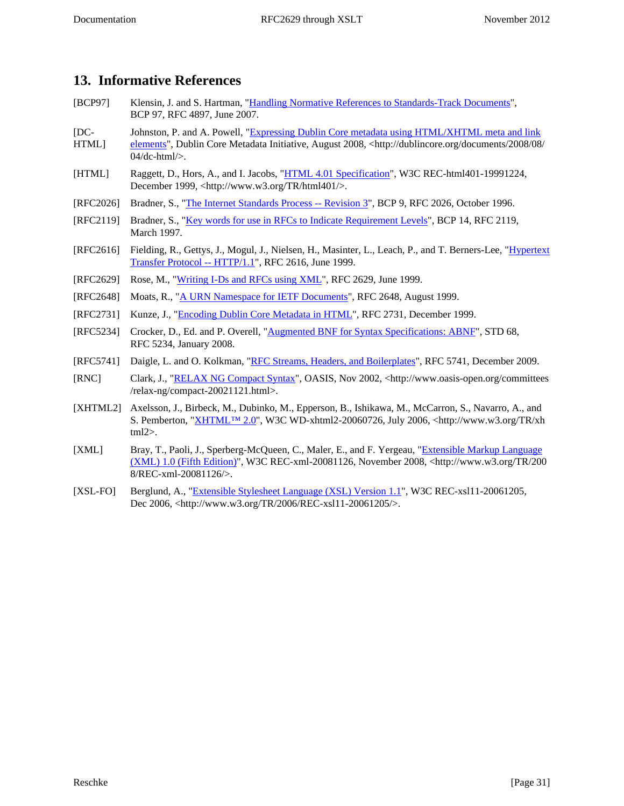# <span id="page-30-0"></span>**13. Informative References**

- <span id="page-30-10"></span>[BCP97] Klensin, J. and S. Hartman, "[Handling Normative References to Standards-Track Documents"](http://tools.ietf.org/html/rfc4897.txt), BCP 97, RFC 4897, June 2007.
- <span id="page-30-4"></span> $[DC-$ Johnston, P. and A. Powell, ["Expressing Dublin Core metadata using HTML/XHTML meta and link](http://dublincore.org/documents/2008/08/04/dc-html/)
- HTML] [elements"](http://dublincore.org/documents/2008/08/04/dc-html/), Dublin Core Metadata Initiative, August 2008, <http://dublincore.org/documents/2008/08/ 04/dc-html/>.
- <span id="page-30-2"></span>[HTML] Raggett, D., Hors, A., and I. Jacobs, "[HTML 4.01 Specification"](http://www.w3.org/TR/html401/), W3C REC-html401-19991224, December 1999, <http://www.w3.org/TR/html401/>.
- <span id="page-30-9"></span>[RFC2026] Bradner, S., ["The Internet Standards Process -- Revision 3](http://tools.ietf.org/html/rfc2026.txt)", BCP 9, RFC 2026, October 1996.
- <span id="page-30-7"></span>[RFC2119] Bradner, S., ["Key words for use in RFCs to Indicate Requirement Levels"](http://tools.ietf.org/html/rfc2119.txt), BCP 14, RFC 2119, March 1997.
- <span id="page-30-13"></span>[RFC2616] Fielding, R., Gettys, J., Mogul, J., Nielsen, H., Masinter, L., Leach, P., and T. Berners-Lee, "[Hypertext](http://tools.ietf.org/html/rfc2616.txt) [Transfer Protocol -- HTTP/1.1](http://tools.ietf.org/html/rfc2616.txt)", RFC 2616, June 1999.
- <span id="page-30-1"></span>[RFC2629] Rose, M., ["Writing I-Ds and RFCs using XML"](http://tools.ietf.org/html/rfc2629.txt), RFC 2629, June 1999.
- <span id="page-30-5"></span>[RFC2648] Moats, R., ["A URN Namespace for IETF Documents](http://tools.ietf.org/html/rfc2648.txt)", RFC 2648, August 1999.
- <span id="page-30-3"></span>[RFC2731] Kunze, J., "[Encoding Dublin Core Metadata in HTML"](http://tools.ietf.org/html/rfc2731.txt), RFC 2731, December 1999.
- <span id="page-30-12"></span>[RFC5234] Crocker, D., Ed. and P. Overell, "[Augmented BNF for Syntax Specifications: ABNF"](http://tools.ietf.org/html/rfc5234.txt), STD 68, RFC 5234, January 2008.
- <span id="page-30-15"></span>[RFC5741] Daigle, L. and O. Kolkman, ["RFC Streams, Headers, and Boilerplates"](http://tools.ietf.org/html/rfc5741.txt), RFC 5741, December 2009.
- <span id="page-30-11"></span>[RNC] Clark, J., "[RELAX NG Compact Syntax"](http://www.oasis-open.org/committees/relax-ng/compact-20021121.html), OASIS, Nov 2002, <http://www.oasis-open.org/committees /relax-ng/compact-20021121.html>.
- <span id="page-30-8"></span>[XHTML2] Axelsson, J., Birbeck, M., Dubinko, M., Epperson, B., Ishikawa, M., McCarron, S., Navarro, A., and S. Pemberton, "[XHTML™ 2.0](http://www.w3.org/TR/xhtml2)", W3C WD-xhtml2-20060726, July 2006, <http://www.w3.org/TR/xh tml2>.
- <span id="page-30-14"></span>[XML] Bray, T., Paoli, J., Sperberg-McQueen, C., Maler, E., and F. Yergeau, "[Extensible Markup Language](http://www.w3.org/TR/2008/REC-xml-20081126/) [\(XML\) 1.0 \(Fifth Edition\)](http://www.w3.org/TR/2008/REC-xml-20081126/)", W3C REC-xml-20081126, November 2008, <http://www.w3.org/TR/200 8/REC-xml-20081126/>.
- <span id="page-30-6"></span>[XSL-FO] Berglund, A., ["Extensible Stylesheet Language \(XSL\) Version 1.1"](http://www.w3.org/TR/2006/REC-xsl11-20061205/), W3C REC-xsl11-20061205, Dec 2006, <http://www.w3.org/TR/2006/REC-xsl11-20061205/>.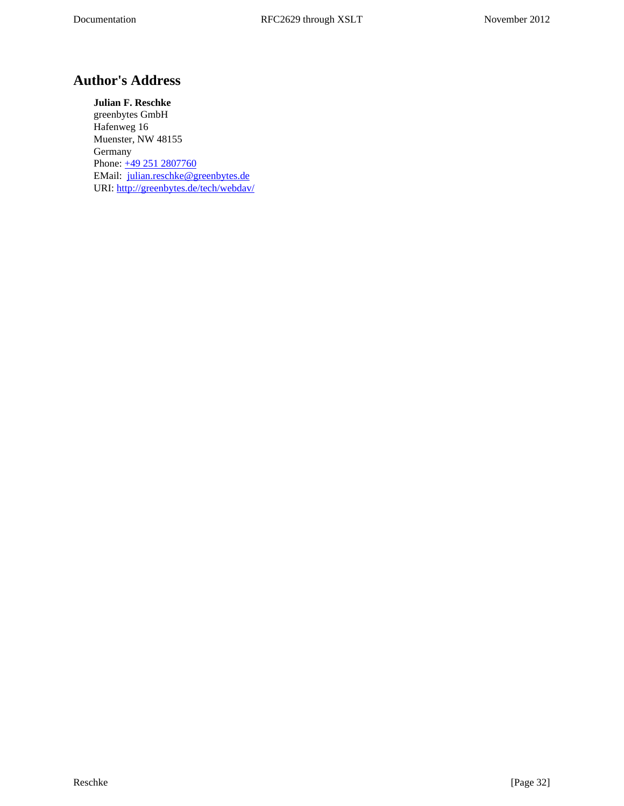# <span id="page-31-0"></span>**Author's Address**

**Julian F. Reschke** greenbytes GmbH Hafenweg 16 Muenster, NW 48155 Germany Phone: [+49 251 2807760](tel:+492512807760) EMail: [julian.reschke@greenbytes.de](mailto:julian.reschke@greenbytes.de) URI:<http://greenbytes.de/tech/webdav/>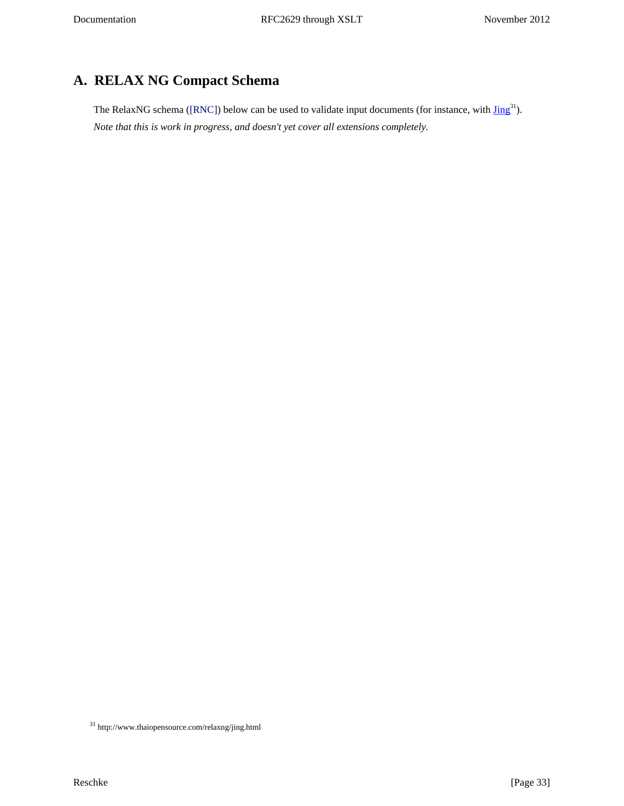# <span id="page-32-0"></span>**A. RELAX NG Compact Schema**

<span id="page-32-2"></span><span id="page-32-1"></span>The RelaxNG schema [\(\[RNC\]](#page-30-11)) below can be used to validate input documents (for instance, with  $\text{Jing}^{31}$ ). *Note that this is work in progress, and doesn't yet cover all extensions completely.*

 $^{\rm 31}$ http://www.thaiopensource.com/relaxng/jing.html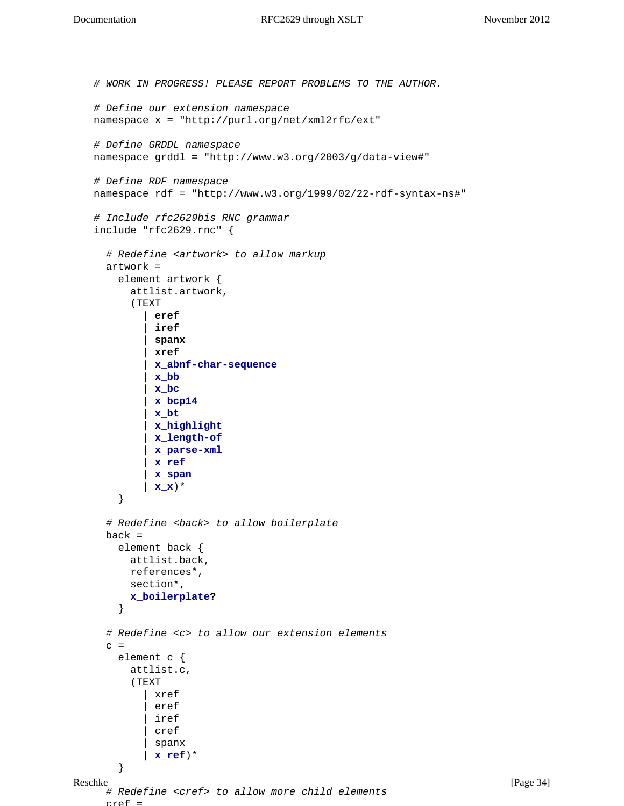```
Reschke [Page 34]
   # WORK IN PROGRESS! PLEASE REPORT PROBLEMS TO THE AUTHOR.
   # Define our extension namespace
   namespace x = "http://purl.org/net/xml2rfc/ext"
   # Define GRDDL namespace
   namespace grddl = "http://www.w3.org/2003/g/data-view#"
   # Define RDF namespace
   namespace rdf = "http://www.w3.org/1999/02/22-rdf-syntax-ns#"
   # Include rfc2629bis RNC grammar
   include "rfc2629.rnc" {
      # Redefine <artwork> to allow markup
      artwork =
        element artwork {
          attlist.artwork,
          (TEXT
            | eref
            | iref
            | spanx
            | xref
            | x_abnf-char-sequence
            | x_bb
            | x_bc
            | x_bcp14
            | x_bt
            | x_highlight
            | x_length-of
            | x_parse-xml
            | x_ref
            | x_span
            | x_x)* 
        }
      # Redefine <back> to allow boilerplate
    back = element back {
          attlist.back,
          references*,
          section*,
          x_boilerplate?
        }
      # Redefine <c> to allow our extension elements
     c = element c {
          attlist.c,
          (TEXT
            | xref
            | eref 
            iref
             | cref 
            | spanx 
            | x_ref)*
        }
      # Redefine <cref> to allow more child elements
     arcaf =
```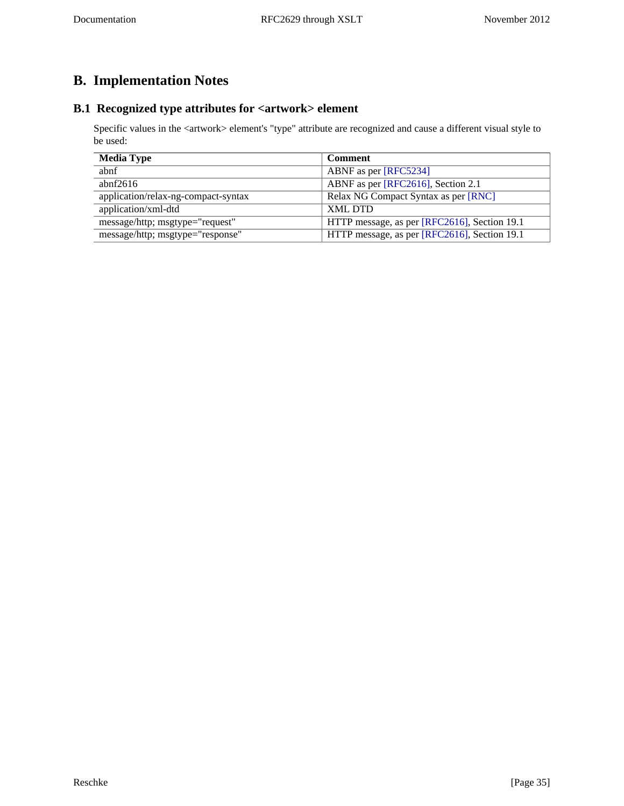# <span id="page-34-0"></span>**B. Implementation Notes**

# <span id="page-34-1"></span>**B.1 Recognized type attributes for <artwork> element**

Specific values in the <artwork> element's "type" attribute are recognized and cause a different visual style to be used:

<span id="page-34-2"></span>

| <b>Media Type</b>                   | <b>Comment</b>                               |
|-------------------------------------|----------------------------------------------|
| abnf                                | ABNF as per [RFC5234]                        |
| abnf $2616$                         | ABNF as per [RFC2616], Section 2.1           |
| application/relax-ng-compact-syntax | Relax NG Compact Syntax as per [RNC]         |
| application/xml-dtd                 | <b>XML DTD</b>                               |
| message/http; msgtype="request"     | HTTP message, as per [RFC2616], Section 19.1 |
| message/http; msgtype="response"    | HTTP message, as per [RFC2616], Section 19.1 |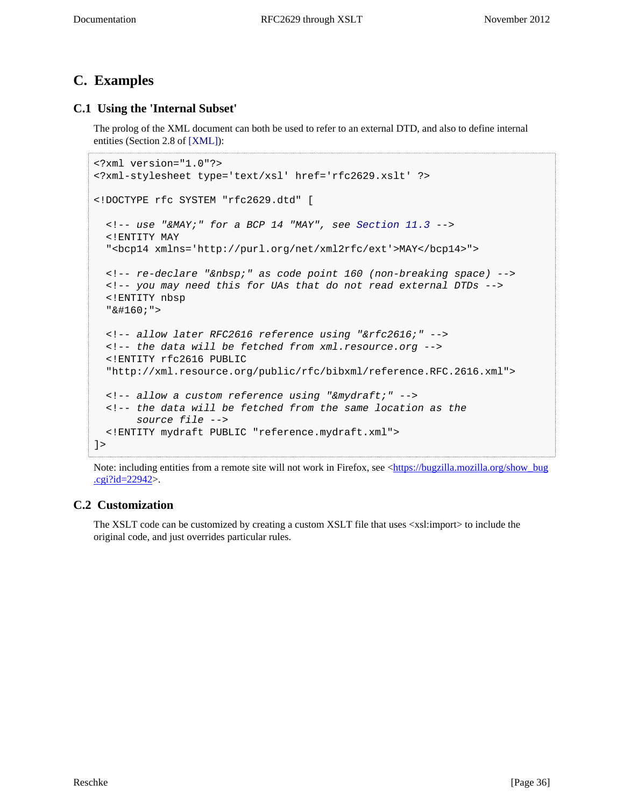# <span id="page-35-0"></span>**C. Examples**

## <span id="page-35-1"></span>**C.1 Using the 'Internal Subset'**

<span id="page-35-3"></span>The prolog of the XML document can both be used to refer to an external DTD, and also to define internal entities (Section 2.8 of [\[XML\]\)](#page-30-14):

```
<?xml version="1.0"?>
<?xml-stylesheet type='text/xsl' href='rfc2629.xslt' ?>
<!DOCTYPE rfc SYSTEM "rfc2629.dtd" [
  \langle -1 - 11.3 - -1 \rangle <!ENTITY MAY
   "<bcp14 xmlns='http://purl.org/net/xml2rfc/ext'>MAY</bcp14>">
  <!-- re-declare "&nbsp;" as code point 160 (non-breaking space) -->
   <!-- you may need this for UAs that do not read external DTDs -->
   <!ENTITY nbsp
  " & #160; "> <!-- allow later RFC2616 reference using "&rfc2616;" -->
   <!-- the data will be fetched from xml.resource.org -->
   <!ENTITY rfc2616 PUBLIC
   "http://xml.resource.org/public/rfc/bibxml/reference.RFC.2616.xml">
   <!-- allow a custom reference using "&mydraft;" -->
   <!-- the data will be fetched from the same location as the 
       source file -->
   <!ENTITY mydraft PUBLIC "reference.mydraft.xml">
]>
```
Note: including entities from a remote site will not work in Firefox, see <[https://bugzilla.mozilla.org/show\\_bug](https://bugzilla.mozilla.org/show_bug.cgi?id=22942) [.cgi?id=22942>](https://bugzilla.mozilla.org/show_bug.cgi?id=22942).

### <span id="page-35-2"></span>**C.2 Customization**

The XSLT code can be customized by creating a custom XSLT file that uses <xsl:import> to include the original code, and just overrides particular rules.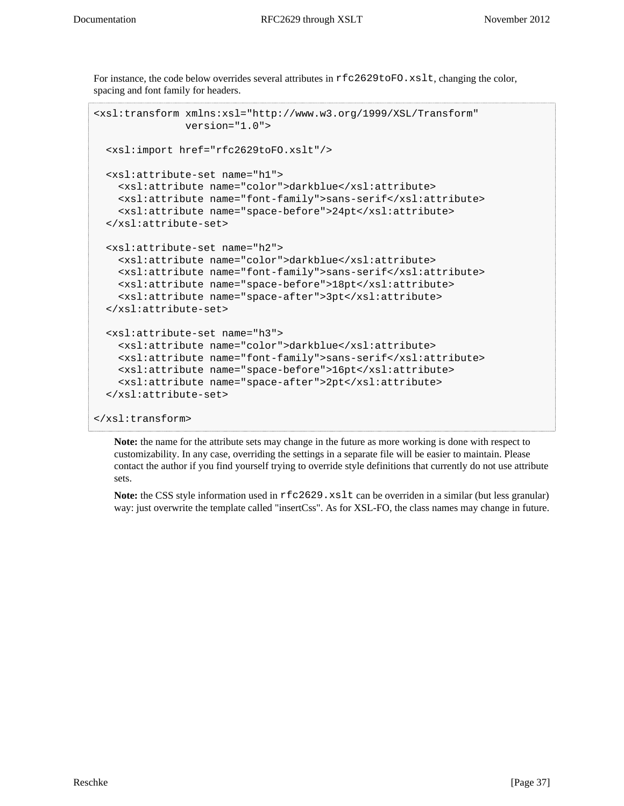For instance, the code below overrides several attributes in  $rfc2629toFO.rslt$ , changing the color, spacing and font family for headers.

```
<xsl:transform xmlns:xsl="http://www.w3.org/1999/XSL/Transform"
                version="1.0">
   <xsl:import href="rfc2629toFO.xslt"/>
   <xsl:attribute-set name="h1">
     <xsl:attribute name="color">darkblue</xsl:attribute>
     <xsl:attribute name="font-family">sans-serif</xsl:attribute>
     <xsl:attribute name="space-before">24pt</xsl:attribute>
   </xsl:attribute-set>
   <xsl:attribute-set name="h2">
     <xsl:attribute name="color">darkblue</xsl:attribute>
     <xsl:attribute name="font-family">sans-serif</xsl:attribute>
     <xsl:attribute name="space-before">18pt</xsl:attribute>
     <xsl:attribute name="space-after">3pt</xsl:attribute>
   </xsl:attribute-set>
   <xsl:attribute-set name="h3">
     <xsl:attribute name="color">darkblue</xsl:attribute>
     <xsl:attribute name="font-family">sans-serif</xsl:attribute>
     <xsl:attribute name="space-before">16pt</xsl:attribute>
     <xsl:attribute name="space-after">2pt</xsl:attribute>
   </xsl:attribute-set>
</xsl:transform>
```
**Note:** the name for the attribute sets may change in the future as more working is done with respect to customizability. In any case, overriding the settings in a separate file will be easier to maintain. Please contact the author if you find yourself trying to override style definitions that currently do not use attribute sets.

Note: the CSS style information used in  $rfc2629$ . xslt can be overriden in a similar (but less granular) way: just overwrite the template called "insertCss". As for XSL-FO, the class names may change in future.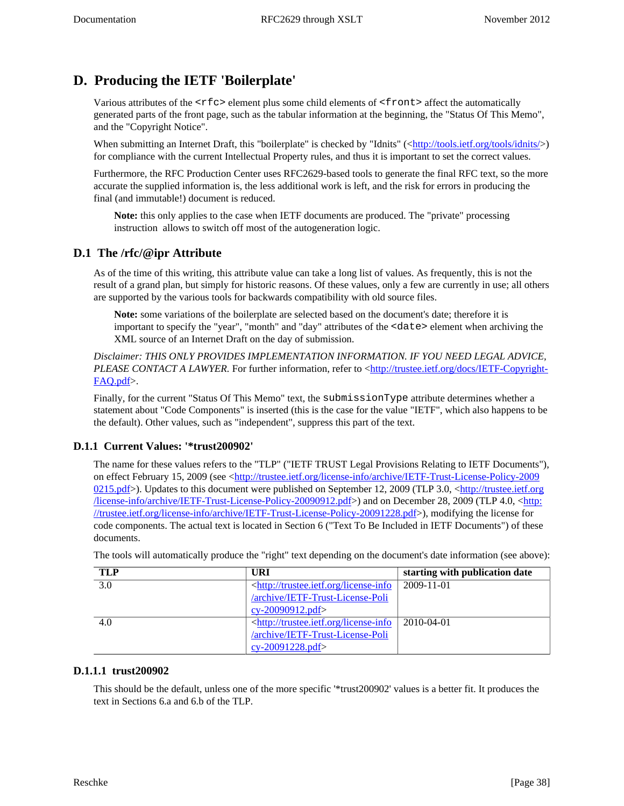# <span id="page-37-0"></span>**D. Producing the IETF 'Boilerplate'**

Various attributes of the  $\langle \text{rfc} \rangle$  element plus some child elements of  $\langle \text{front} \rangle$  affect the automatically generated parts of the front page, such as the tabular information at the beginning, the "Status Of This Memo", and the "Copyright Notice".

When submitting an Internet Draft, this "boilerplate" is checked by "Idnits" ([<http://tools.ietf.org/tools/idnits/](http://tools.ietf.org/tools/idnits/)>) for compliance with the current Intellectual Property rules, and thus it is important to set the correct values.

Furthermore, the RFC Production Center uses RFC2629-based tools to generate the final RFC text, so the more accurate the supplied information is, the less additional work is left, and the risk for errors in producing the final (and immutable!) document is reduced.

<span id="page-37-5"></span>**Note:** this only applies to the case when IETF documents are produced. The "private" processing instruction allows to switch off most of the autogeneration logic.

### <span id="page-37-1"></span>**D.1 The /rfc/@ipr Attribute**

As of the time of this writing, this attribute value can take a long list of values. As frequently, this is not the result of a grand plan, but simply for historic reasons. Of these values, only a few are currently in use; all others are supported by the various tools for backwards compatibility with old source files.

**Note:** some variations of the boilerplate are selected based on the document's date; therefore it is important to specify the "year", "month" and "day" attributes of the <date> element when archiving the XML source of an Internet Draft on the day of submission.

*Disclaimer: THIS ONLY PROVIDES IMPLEMENTATION INFORMATION. IF YOU NEED LEGAL ADVICE, PLEASE CONTACT A LAWYER*. For further information, refer to [<http://trustee.ietf.org/docs/IETF-Copyright-](http://trustee.ietf.org/docs/IETF-Copyright-FAQ.pdf)[FAQ.pdf>](http://trustee.ietf.org/docs/IETF-Copyright-FAQ.pdf).

Finally, for the current "Status Of This Memo" text, the submissionType attribute determines whether a statement about "Code Components" is inserted (this is the case for the value "IETF", which also happens to be the default). Other values, such as "independent", suppress this part of the text.

### <span id="page-37-2"></span>**D.1.1 Current Values: '\*trust200902'**

The name for these values refers to the "TLP" ("IETF TRUST Legal Provisions Relating to IETF Documents"), on effect February 15, 2009 (see [<http://trustee.ietf.org/license-info/archive/IETF-Trust-License-Policy-2009](http://trustee.ietf.org/license-info/archive/IETF-Trust-License-Policy-20090215.pdf) [0215.pdf>](http://trustee.ietf.org/license-info/archive/IETF-Trust-License-Policy-20090215.pdf)). Updates to this document were published on September 12, 2009 (TLP 3.0, <[http://trustee.ietf.org](http://trustee.ietf.org/license-info/archive/IETF-Trust-License-Policy-20090912.pdf) [/license-info/archive/IETF-Trust-License-Policy-20090912.pdf](http://trustee.ietf.org/license-info/archive/IETF-Trust-License-Policy-20090912.pdf)>) and on December 28, 2009 (TLP 4.0, <[http:](http://trustee.ietf.org/license-info/archive/IETF-Trust-License-Policy-20091228.pdf) [//trustee.ietf.org/license-info/archive/IETF-Trust-License-Policy-20091228.pdf>](http://trustee.ietf.org/license-info/archive/IETF-Trust-License-Policy-20091228.pdf)), modifying the license for code components. The actual text is located in Section 6 ("Text To Be Included in IETF Documents") of these documents.

| <b>TLP</b> | URI                                                                                            | starting with publication date |
|------------|------------------------------------------------------------------------------------------------|--------------------------------|
| 3.0        | <http: license-info<="" td="" trustee.ietf.org=""><td><math>2009 - 11 - 01</math></td></http:> | $2009 - 11 - 01$               |
|            | /archive/IETF-Trust-License-Poli                                                               |                                |
|            | cy-20090912.pdf>                                                                               |                                |
| 4.0        | <http: license-info<="" th="" trustee.ietf.org=""><th>2010-04-01</th></http:>                  | 2010-04-01                     |
|            | /archive/IETF-Trust-License-Poli                                                               |                                |
|            | $cy-20091228.pdf$                                                                              |                                |

The tools will automatically produce the "right" text depending on the document's date information (see above):

### <span id="page-37-3"></span>**D.1.1.1 trust200902**

<span id="page-37-4"></span>This should be the default, unless one of the more specific '\*trust200902' values is a better fit. It produces the text in Sections 6.a and 6.b of the TLP.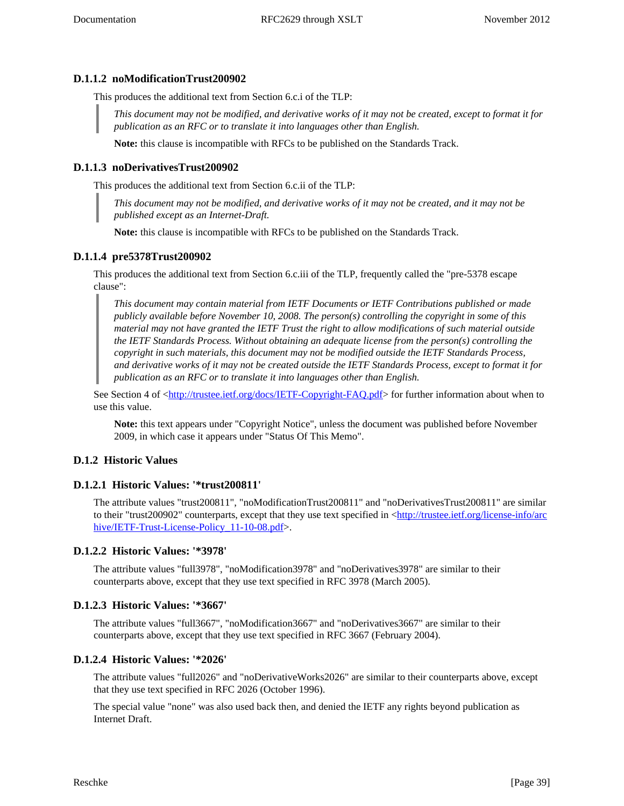### **D.1.1.2 noModificationTrust200902**

This produces the additional text from Section 6.c.i of the TLP:

*This document may not be modified, and derivative works of it may not be created, except to format it for publication as an RFC or to translate it into languages other than English.*

**Note:** this clause is incompatible with RFCs to be published on the Standards Track.

#### <span id="page-38-0"></span>**D.1.1.3 noDerivativesTrust200902**

This produces the additional text from Section 6.c.ii of the TLP:

*This document may not be modified, and derivative works of it may not be created, and it may not be published except as an Internet-Draft.*

**Note:** this clause is incompatible with RFCs to be published on the Standards Track.

#### <span id="page-38-1"></span>**D.1.1.4 pre5378Trust200902**

This produces the additional text from Section 6.c.iii of the TLP, frequently called the "pre-5378 escape clause":

*This document may contain material from IETF Documents or IETF Contributions published or made publicly available before November 10, 2008. The person(s) controlling the copyright in some of this material may not have granted the IETF Trust the right to allow modifications of such material outside the IETF Standards Process. Without obtaining an adequate license from the person(s) controlling the copyright in such materials, this document may not be modified outside the IETF Standards Process, and derivative works of it may not be created outside the IETF Standards Process, except to format it for publication as an RFC or to translate it into languages other than English.*

See Section 4 of [<http://trustee.ietf.org/docs/IETF-Copyright-FAQ.pdf>](http://trustee.ietf.org/docs/IETF-Copyright-FAQ.pdf) for further information about when to use this value.

**Note:** this text appears under "Copyright Notice", unless the document was published before November 2009, in which case it appears under "Status Of This Memo".

#### <span id="page-38-2"></span>**D.1.2 Historic Values**

#### <span id="page-38-3"></span>**D.1.2.1 Historic Values: '\*trust200811'**

The attribute values "trust200811", "noModificationTrust200811" and "noDerivativesTrust200811" are similar to their "trust200902" counterparts, except that they use text specified in <[http://trustee.ietf.org/license-info/arc](http://trustee.ietf.org/license-info/archive/IETF-Trust-License-Policy_11-10-08.pdf) hive/IETF-Trust-License-Policy 11-10-08.pdf>.

#### <span id="page-38-4"></span>**D.1.2.2 Historic Values: '\*3978'**

The attribute values "full3978", "noModification3978" and "noDerivatives3978" are similar to their counterparts above, except that they use text specified in RFC 3978 (March 2005).

#### <span id="page-38-5"></span>**D.1.2.3 Historic Values: '\*3667'**

The attribute values "full3667", "noModification3667" and "noDerivatives3667" are similar to their counterparts above, except that they use text specified in RFC 3667 (February 2004).

#### <span id="page-38-6"></span>**D.1.2.4 Historic Values: '\*2026'**

The attribute values "full2026" and "noDerivativeWorks2026" are similar to their counterparts above, except that they use text specified in RFC 2026 (October 1996).

The special value "none" was also used back then, and denied the IETF any rights beyond publication as Internet Draft.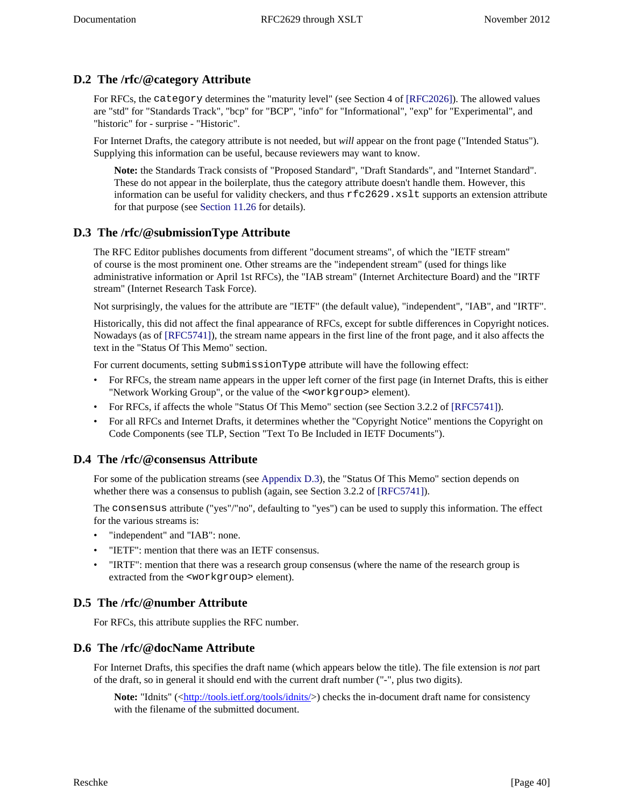## <span id="page-39-0"></span>**D.2 The /rfc/@category Attribute**

For RFCs, the category determines the "maturity level" (see Section 4 of [\[RFC2026\]\)](#page-30-9). The allowed values are "std" for "Standards Track", "bcp" for "BCP", "info" for "Informational", "exp" for "Experimental", and "historic" for - surprise - "Historic".

For Internet Drafts, the category attribute is not needed, but *will* appear on the front page ("Intended Status"). Supplying this information can be useful, because reviewers may want to know.

<span id="page-39-6"></span>**Note:** the Standards Track consists of "Proposed Standard", "Draft Standards", and "Internet Standard". These do not appear in the boilerplate, thus the category attribute doesn't handle them. However, this information can be useful for validity checkers, and thus rfc2629.xslt supports an extension attribute for that purpose (see [Section 11.26](#page-23-3) for details).

### <span id="page-39-1"></span>**D.3 The /rfc/@submissionType Attribute**

The RFC Editor publishes documents from different "document streams", of which the "IETF stream" of course is the most prominent one. Other streams are the "independent stream" (used for things like administrative information or April 1st RFCs), the "IAB stream" (Internet Architecture Board) and the "IRTF stream" (Internet Research Task Force).

Not surprisingly, the values for the attribute are "IETF" (the default value), "independent", "IAB", and "IRTF".

<span id="page-39-7"></span>Historically, this did not affect the final appearance of RFCs, except for subtle differences in Copyright notices. Nowadays (as of [\[RFC5741\]](#page-30-15)), the stream name appears in the first line of the front page, and it also affects the text in the "Status Of This Memo" section.

For current documents, setting submissionType attribute will have the following effect:

- For RFCs, the stream name appears in the upper left corner of the first page (in Internet Drafts, this is either "Network Working Group", or the value of the <workgroup> element).
- <span id="page-39-8"></span>• For RFCs, if affects the whole "Status Of This Memo" section (see Section 3.2.2 of [\[RFC5741\]](#page-30-15)).
- For all RFCs and Internet Drafts, it determines whether the "Copyright Notice" mentions the Copyright on Code Components (see TLP, Section "Text To Be Included in IETF Documents").

### <span id="page-39-2"></span>**D.4 The /rfc/@consensus Attribute**

<span id="page-39-9"></span>For some of the publication streams (see [Appendix D.3](#page-39-1)), the "Status Of This Memo" section depends on whether there was a consensus to publish (again, see Section 3.2.2 of [\[RFC5741\]](#page-30-15)).

The consensus attribute ("yes"/"no", defaulting to "yes") can be used to supply this information. The effect for the various streams is:

- "independent" and "IAB": none.
- "IETF": mention that there was an IETF consensus.
- "IRTF": mention that there was a research group consensus (where the name of the research group is extracted from the <workgroup> element).

### <span id="page-39-3"></span>**D.5 The /rfc/@number Attribute**

For RFCs, this attribute supplies the RFC number.

### <span id="page-39-4"></span>**D.6 The /rfc/@docName Attribute**

For Internet Drafts, this specifies the draft name (which appears below the title). The file extension is *not* part of the draft, so in general it should end with the current draft number ("-", plus two digits).

<span id="page-39-5"></span>**Note:** "Idnits" ([<http://tools.ietf.org/tools/idnits/](http://tools.ietf.org/tools/idnits/)>) checks the in-document draft name for consistency with the filename of the submitted document.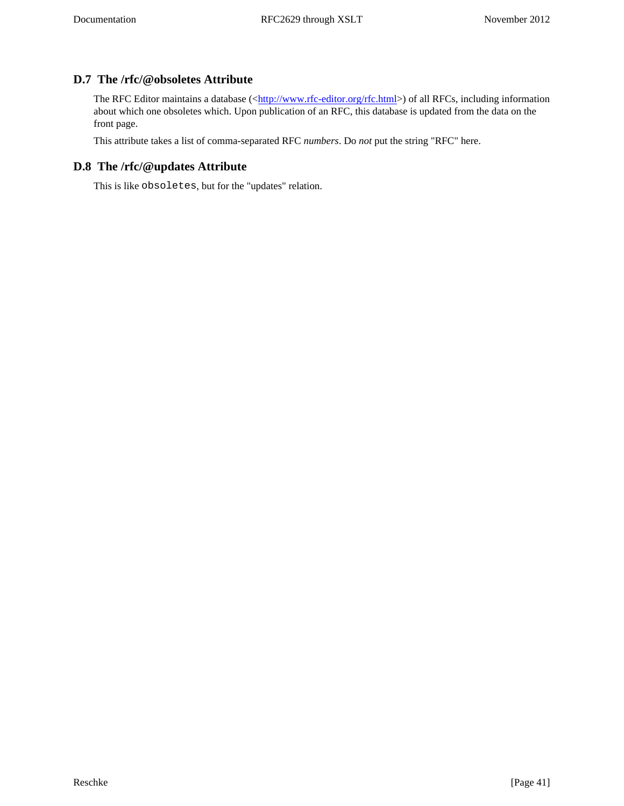## **D.7 The /rfc/@obsoletes Attribute**

The RFC Editor maintains a database ([<http://www.rfc-editor.org/rfc.html>](http://www.rfc-editor.org/rfc.html)) of all RFCs, including information about which one obsoletes which. Upon publication of an RFC, this database is updated from the data on the front page.

This attribute takes a list of comma-separated RFC *numbers*. Do *not* put the string "RFC" here.

### <span id="page-40-0"></span>**D.8 The /rfc/@updates Attribute**

This is like obsoletes, but for the "updates" relation.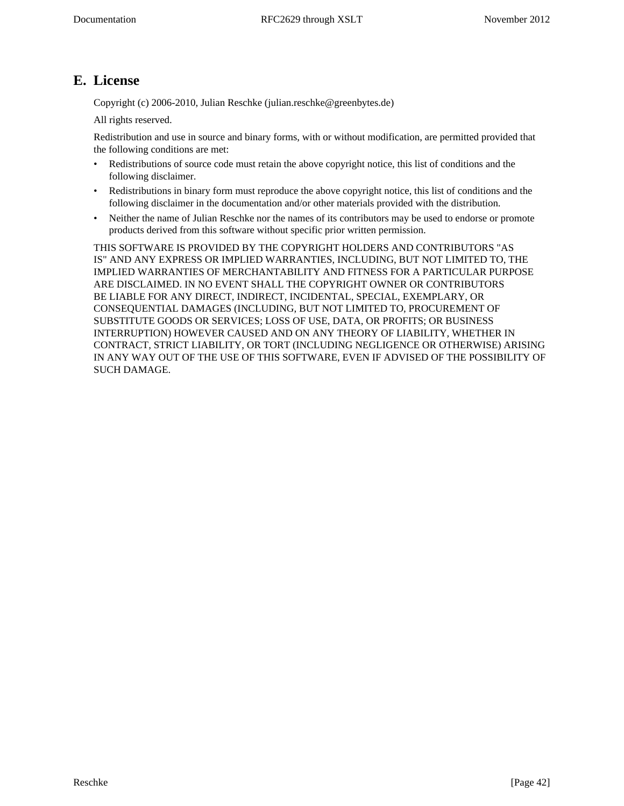# <span id="page-41-0"></span>**E. License**

Copyright (c) 2006-2010, Julian Reschke (julian.reschke@greenbytes.de)

All rights reserved.

Redistribution and use in source and binary forms, with or without modification, are permitted provided that the following conditions are met:

- Redistributions of source code must retain the above copyright notice, this list of conditions and the following disclaimer.
- Redistributions in binary form must reproduce the above copyright notice, this list of conditions and the following disclaimer in the documentation and/or other materials provided with the distribution.
- Neither the name of Julian Reschke nor the names of its contributors may be used to endorse or promote products derived from this software without specific prior written permission.

THIS SOFTWARE IS PROVIDED BY THE COPYRIGHT HOLDERS AND CONTRIBUTORS "AS IS" AND ANY EXPRESS OR IMPLIED WARRANTIES, INCLUDING, BUT NOT LIMITED TO, THE IMPLIED WARRANTIES OF MERCHANTABILITY AND FITNESS FOR A PARTICULAR PURPOSE ARE DISCLAIMED. IN NO EVENT SHALL THE COPYRIGHT OWNER OR CONTRIBUTORS BE LIABLE FOR ANY DIRECT, INDIRECT, INCIDENTAL, SPECIAL, EXEMPLARY, OR CONSEQUENTIAL DAMAGES (INCLUDING, BUT NOT LIMITED TO, PROCUREMENT OF SUBSTITUTE GOODS OR SERVICES; LOSS OF USE, DATA, OR PROFITS; OR BUSINESS INTERRUPTION) HOWEVER CAUSED AND ON ANY THEORY OF LIABILITY, WHETHER IN CONTRACT, STRICT LIABILITY, OR TORT (INCLUDING NEGLIGENCE OR OTHERWISE) ARISING IN ANY WAY OUT OF THE USE OF THIS SOFTWARE, EVEN IF ADVISED OF THE POSSIBILITY OF SUCH DAMAGE.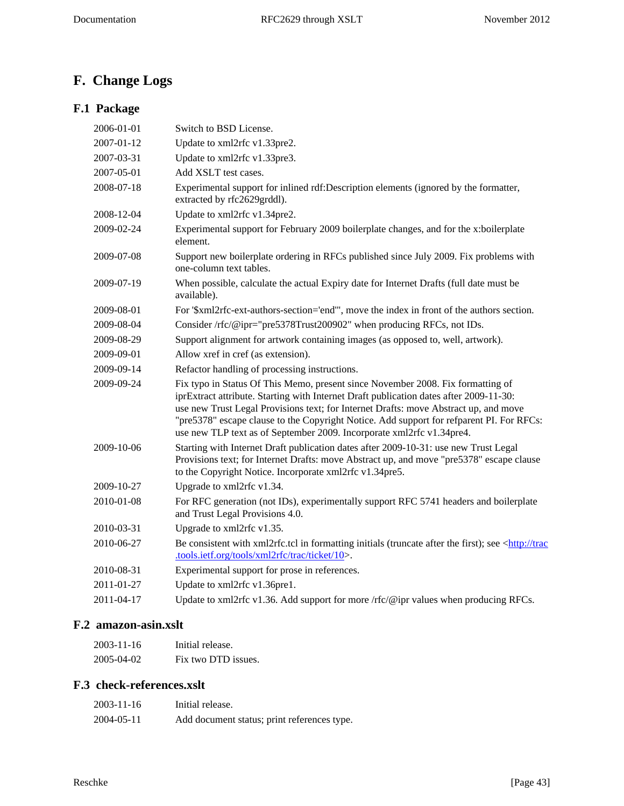# <span id="page-42-0"></span>**F. Change Logs**

# <span id="page-42-1"></span>**F.1 Package**

| 2006-01-01 | Switch to BSD License.                                                                                                                                                                                                                                                                                                                                                                                                                 |
|------------|----------------------------------------------------------------------------------------------------------------------------------------------------------------------------------------------------------------------------------------------------------------------------------------------------------------------------------------------------------------------------------------------------------------------------------------|
| 2007-01-12 | Update to xml2rfc v1.33pre2.                                                                                                                                                                                                                                                                                                                                                                                                           |
| 2007-03-31 | Update to xml2rfc v1.33pre3.                                                                                                                                                                                                                                                                                                                                                                                                           |
| 2007-05-01 | Add XSLT test cases.                                                                                                                                                                                                                                                                                                                                                                                                                   |
| 2008-07-18 | Experimental support for inlined rdf:Description elements (ignored by the formatter,<br>extracted by rfc2629grddl).                                                                                                                                                                                                                                                                                                                    |
| 2008-12-04 | Update to xml2rfc v1.34pre2.                                                                                                                                                                                                                                                                                                                                                                                                           |
| 2009-02-24 | Experimental support for February 2009 boilerplate changes, and for the x:boilerplate<br>element.                                                                                                                                                                                                                                                                                                                                      |
| 2009-07-08 | Support new boilerplate ordering in RFCs published since July 2009. Fix problems with<br>one-column text tables.                                                                                                                                                                                                                                                                                                                       |
| 2009-07-19 | When possible, calculate the actual Expiry date for Internet Drafts (full date must be<br>available).                                                                                                                                                                                                                                                                                                                                  |
| 2009-08-01 | For '\$xml2rfc-ext-authors-section='end'", move the index in front of the authors section.                                                                                                                                                                                                                                                                                                                                             |
| 2009-08-04 | Consider /rfc/@ipr="pre5378Trust200902" when producing RFCs, not IDs.                                                                                                                                                                                                                                                                                                                                                                  |
| 2009-08-29 | Support alignment for artwork containing images (as opposed to, well, artwork).                                                                                                                                                                                                                                                                                                                                                        |
| 2009-09-01 | Allow xref in cref (as extension).                                                                                                                                                                                                                                                                                                                                                                                                     |
| 2009-09-14 | Refactor handling of processing instructions.                                                                                                                                                                                                                                                                                                                                                                                          |
| 2009-09-24 | Fix typo in Status Of This Memo, present since November 2008. Fix formatting of<br>iprExtract attribute. Starting with Internet Draft publication dates after 2009-11-30:<br>use new Trust Legal Provisions text; for Internet Drafts: move Abstract up, and move<br>"pre5378" escape clause to the Copyright Notice. Add support for refparent PI. For RFCs:<br>use new TLP text as of September 2009. Incorporate xml2rfc v1.34pre4. |
| 2009-10-06 | Starting with Internet Draft publication dates after 2009-10-31: use new Trust Legal<br>Provisions text; for Internet Drafts: move Abstract up, and move "pre5378" escape clause<br>to the Copyright Notice. Incorporate xml2rfc v1.34pre5.                                                                                                                                                                                            |
| 2009-10-27 | Upgrade to xml2rfc v1.34.                                                                                                                                                                                                                                                                                                                                                                                                              |
| 2010-01-08 | For RFC generation (not IDs), experimentally support RFC 5741 headers and boilerplate<br>and Trust Legal Provisions 4.0.                                                                                                                                                                                                                                                                                                               |
| 2010-03-31 | Upgrade to xml2rfc v1.35.                                                                                                                                                                                                                                                                                                                                                                                                              |
| 2010-06-27 | Be consistent with xml2rfc.tcl in formatting initials (truncate after the first); see <http: trac<br="">.tools.ietf.org/tools/xml2rfc/trac/ticket/10&gt;.</http:>                                                                                                                                                                                                                                                                      |
| 2010-08-31 | Experimental support for prose in references.                                                                                                                                                                                                                                                                                                                                                                                          |
| 2011-01-27 | Update to xml2rfc v1.36pre1.                                                                                                                                                                                                                                                                                                                                                                                                           |
| 2011-04-17 | Update to xml2rfc v1.36. Add support for more /rfc/@ipr values when producing RFCs.                                                                                                                                                                                                                                                                                                                                                    |
|            |                                                                                                                                                                                                                                                                                                                                                                                                                                        |

# <span id="page-42-2"></span>**F.2 amazon-asin.xslt**

| 2003-11-16 | Initial release.    |
|------------|---------------------|
| 2005-04-02 | Fix two DTD issues. |

# <span id="page-42-3"></span>**F.3 check-references.xslt**

| 2003-11-16 | Initial release.                            |
|------------|---------------------------------------------|
| 2004-05-11 | Add document status; print references type. |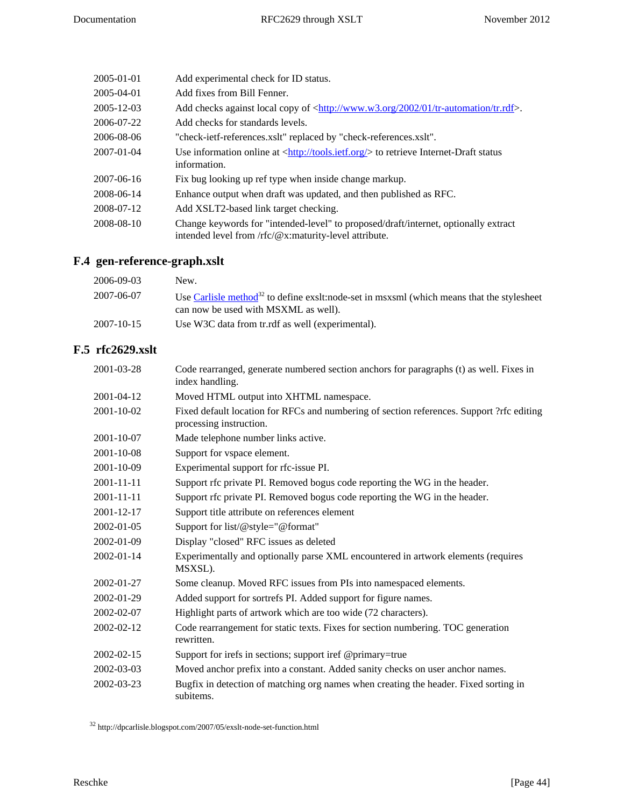| 2005-01-01 | Add experimental check for ID status.                                                                                                                |
|------------|------------------------------------------------------------------------------------------------------------------------------------------------------|
| 2005-04-01 | Add fixes from Bill Fenner.                                                                                                                          |
| 2005-12-03 | Add checks against local copy of $\langle \frac{http://www.w3.org/2002/01/tr-automation/tr.rdf \rangle}{$ .                                          |
| 2006-07-22 | Add checks for standards levels.                                                                                                                     |
| 2006-08-06 | "check-ietf-references.xslt" replaced by "check-references.xslt".                                                                                    |
| 2007-01-04 | Use information online at $\langle \frac{http://tools.ietf.org/}{http://tools.ietf.org/}{\rangle}$ to retrieve Internet-Draft status<br>information. |
| 2007-06-16 | Fix bug looking up ref type when inside change markup.                                                                                               |
| 2008-06-14 | Enhance output when draft was updated, and then published as RFC.                                                                                    |
| 2008-07-12 | Add XSLT2-based link target checking.                                                                                                                |
| 2008-08-10 | Change keywords for "intended-level" to proposed/draft/internet, optionally extract<br>intended level from /rfc/@x:maturity-level attribute.         |

# <span id="page-43-0"></span>**F.4 gen-reference-graph.xslt**

| 2006-09-03       | New.                                                                                                                                    |
|------------------|-----------------------------------------------------------------------------------------------------------------------------------------|
| 2007-06-07       | Use Carlisle method $^{32}$ to define exslt:node-set in msxsml (which means that the stylesheet<br>can now be used with MSXML as well). |
| $2007 - 10 - 15$ | Use W3C data from tr. rdf as well (experimental).                                                                                       |

# <span id="page-43-1"></span>**F.5 rfc2629.xslt**

| 2001-03-28       | Code rearranged, generate numbered section anchors for paragraphs (t) as well. Fixes in<br>index handling.           |
|------------------|----------------------------------------------------------------------------------------------------------------------|
| 2001-04-12       | Moved HTML output into XHTML namespace.                                                                              |
| 2001-10-02       | Fixed default location for RFCs and numbering of section references. Support ?rfc editing<br>processing instruction. |
| 2001-10-07       | Made telephone number links active.                                                                                  |
| 2001-10-08       | Support for vspace element.                                                                                          |
| 2001-10-09       | Experimental support for rfc-issue PI.                                                                               |
| $2001 - 11 - 11$ | Support rfc private PI. Removed bogus code reporting the WG in the header.                                           |
| 2001-11-11       | Support rfc private PI. Removed bogus code reporting the WG in the header.                                           |
| 2001-12-17       | Support title attribute on references element                                                                        |
| 2002-01-05       | Support for list/@style="@format"                                                                                    |
| 2002-01-09       | Display "closed" RFC issues as deleted                                                                               |
| 2002-01-14       | Experimentally and optionally parse XML encountered in artwork elements (requires<br>MSXSL).                         |
| 2002-01-27       | Some cleanup. Moved RFC issues from PIs into namespaced elements.                                                    |
| 2002-01-29       | Added support for sortrefs PI. Added support for figure names.                                                       |
| 2002-02-07       | Highlight parts of artwork which are too wide (72 characters).                                                       |
| 2002-02-12       | Code rearrangement for static texts. Fixes for section numbering. TOC generation<br>rewritten.                       |
| 2002-02-15       | Support for irefs in sections; support iref @primary=true                                                            |
| 2002-03-03       | Moved anchor prefix into a constant. Added sanity checks on user anchor names.                                       |
| 2002-03-23       | Bugfix in detection of matching org names when creating the header. Fixed sorting in<br>subitems.                    |

 $^{32}$ http://dpcarlisle.blogspot.com/2007/05/exslt-node-set-function.html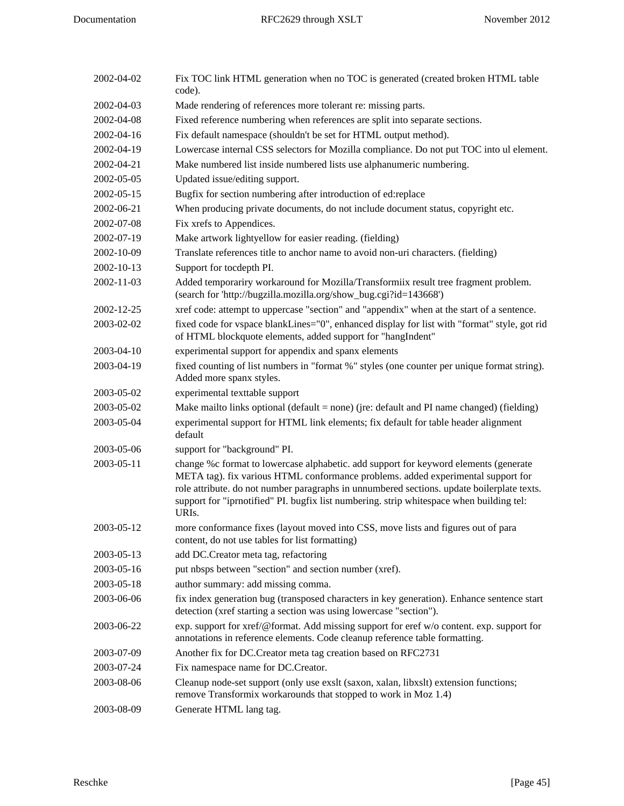| 2002-04-02 | Fix TOC link HTML generation when no TOC is generated (created broken HTML table<br>code).                                                                                                                                                                                                                                                                                               |
|------------|------------------------------------------------------------------------------------------------------------------------------------------------------------------------------------------------------------------------------------------------------------------------------------------------------------------------------------------------------------------------------------------|
| 2002-04-03 | Made rendering of references more tolerant re: missing parts.                                                                                                                                                                                                                                                                                                                            |
| 2002-04-08 | Fixed reference numbering when references are split into separate sections.                                                                                                                                                                                                                                                                                                              |
| 2002-04-16 | Fix default namespace (shouldn't be set for HTML output method).                                                                                                                                                                                                                                                                                                                         |
| 2002-04-19 | Lowercase internal CSS selectors for Mozilla compliance. Do not put TOC into ul element.                                                                                                                                                                                                                                                                                                 |
| 2002-04-21 | Make numbered list inside numbered lists use alphanumeric numbering.                                                                                                                                                                                                                                                                                                                     |
| 2002-05-05 | Updated issue/editing support.                                                                                                                                                                                                                                                                                                                                                           |
| 2002-05-15 | Bugfix for section numbering after introduction of ed:replace                                                                                                                                                                                                                                                                                                                            |
| 2002-06-21 | When producing private documents, do not include document status, copyright etc.                                                                                                                                                                                                                                                                                                         |
| 2002-07-08 | Fix xrefs to Appendices.                                                                                                                                                                                                                                                                                                                                                                 |
| 2002-07-19 | Make artwork lightyellow for easier reading. (fielding)                                                                                                                                                                                                                                                                                                                                  |
| 2002-10-09 | Translate references title to anchor name to avoid non-uri characters. (fielding)                                                                                                                                                                                                                                                                                                        |
| 2002-10-13 | Support for tocdepth PI.                                                                                                                                                                                                                                                                                                                                                                 |
| 2002-11-03 | Added temporariry workaround for Mozilla/Transformiix result tree fragment problem.<br>(search for 'http://bugzilla.mozilla.org/show_bug.cgi?id=143668')                                                                                                                                                                                                                                 |
| 2002-12-25 | xref code: attempt to uppercase "section" and "appendix" when at the start of a sentence.                                                                                                                                                                                                                                                                                                |
| 2003-02-02 | fixed code for vspace blankLines="0", enhanced display for list with "format" style, got rid<br>of HTML blockquote elements, added support for "hangIndent"                                                                                                                                                                                                                              |
| 2003-04-10 | experimental support for appendix and spanx elements                                                                                                                                                                                                                                                                                                                                     |
| 2003-04-19 | fixed counting of list numbers in "format %" styles (one counter per unique format string).<br>Added more spanx styles.                                                                                                                                                                                                                                                                  |
| 2003-05-02 | experimental texttable support                                                                                                                                                                                                                                                                                                                                                           |
| 2003-05-02 | Make mailto links optional (default = none) (jre: default and PI name changed) (fielding)                                                                                                                                                                                                                                                                                                |
| 2003-05-04 | experimental support for HTML link elements; fix default for table header alignment<br>default                                                                                                                                                                                                                                                                                           |
| 2003-05-06 | support for "background" PI.                                                                                                                                                                                                                                                                                                                                                             |
| 2003-05-11 | change %c format to lowercase alphabetic. add support for keyword elements (generate<br>META tag). fix various HTML conformance problems. added experimental support for<br>role attribute. do not number paragraphs in unnumbered sections. update boilerplate texts.<br>support for "iprnotified" PI. bugfix list numbering. strip whitespace when building tel:<br>URI <sub>s</sub> . |
| 2003-05-12 | more conformance fixes (layout moved into CSS, move lists and figures out of para<br>content, do not use tables for list formatting)                                                                                                                                                                                                                                                     |
| 2003-05-13 | add DC.Creator meta tag, refactoring                                                                                                                                                                                                                                                                                                                                                     |
| 2003-05-16 | put nbsps between "section" and section number (xref).                                                                                                                                                                                                                                                                                                                                   |
| 2003-05-18 | author summary: add missing comma.                                                                                                                                                                                                                                                                                                                                                       |
| 2003-06-06 | fix index generation bug (transposed characters in key generation). Enhance sentence start<br>detection (xref starting a section was using lowercase "section").                                                                                                                                                                                                                         |
| 2003-06-22 | exp. support for xref/@format. Add missing support for eref w/o content. exp. support for<br>annotations in reference elements. Code cleanup reference table formatting.                                                                                                                                                                                                                 |
| 2003-07-09 | Another fix for DC.Creator meta tag creation based on RFC2731                                                                                                                                                                                                                                                                                                                            |
| 2003-07-24 | Fix namespace name for DC.Creator.                                                                                                                                                                                                                                                                                                                                                       |
| 2003-08-06 | Cleanup node-set support (only use exslt (saxon, xalan, libxslt) extension functions;<br>remove Transformix workarounds that stopped to work in Moz 1.4)                                                                                                                                                                                                                                 |
| 2003-08-09 | Generate HTML lang tag.                                                                                                                                                                                                                                                                                                                                                                  |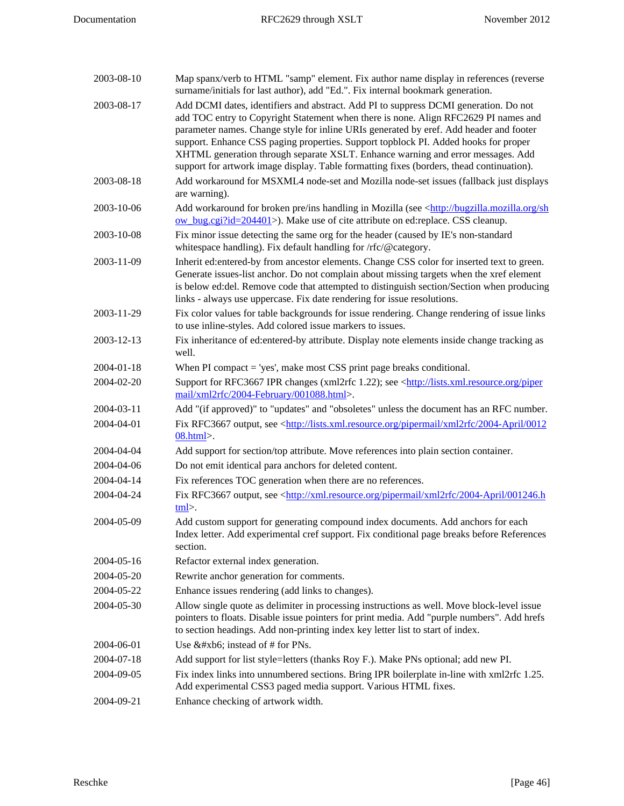| 2003-08-10 | Map spanx/verb to HTML "samp" element. Fix author name display in references (reverse<br>surname/initials for last author), add "Ed.". Fix internal bookmark generation.                                                                                                                                                                                                                                                                                                                                                                    |
|------------|---------------------------------------------------------------------------------------------------------------------------------------------------------------------------------------------------------------------------------------------------------------------------------------------------------------------------------------------------------------------------------------------------------------------------------------------------------------------------------------------------------------------------------------------|
| 2003-08-17 | Add DCMI dates, identifiers and abstract. Add PI to suppress DCMI generation. Do not<br>add TOC entry to Copyright Statement when there is none. Align RFC2629 PI names and<br>parameter names. Change style for inline URIs generated by eref. Add header and footer<br>support. Enhance CSS paging properties. Support topblock PI. Added hooks for proper<br>XHTML generation through separate XSLT. Enhance warning and error messages. Add<br>support for artwork image display. Table formatting fixes (borders, thead continuation). |
| 2003-08-18 | Add workaround for MSXML4 node-set and Mozilla node-set issues (fallback just displays<br>are warning).                                                                                                                                                                                                                                                                                                                                                                                                                                     |
| 2003-10-06 | Add workaround for broken pre/ins handling in Mozilla (see <http: bugzilla.mozilla.org="" sh<br="">ow_bug.cgi?id=204401&gt;). Make use of cite attribute on ed:replace. CSS cleanup.</http:>                                                                                                                                                                                                                                                                                                                                                |
| 2003-10-08 | Fix minor issue detecting the same org for the header (caused by IE's non-standard<br>whitespace handling). Fix default handling for /rfc/@category.                                                                                                                                                                                                                                                                                                                                                                                        |
| 2003-11-09 | Inherit ed:entered-by from ancestor elements. Change CSS color for inserted text to green.<br>Generate issues-list anchor. Do not complain about missing targets when the xref element<br>is below ed:del. Remove code that attempted to distinguish section/Section when producing<br>links - always use uppercase. Fix date rendering for issue resolutions.                                                                                                                                                                              |
| 2003-11-29 | Fix color values for table backgrounds for issue rendering. Change rendering of issue links<br>to use inline-styles. Add colored issue markers to issues.                                                                                                                                                                                                                                                                                                                                                                                   |
| 2003-12-13 | Fix inheritance of ed:entered-by attribute. Display note elements inside change tracking as<br>well.                                                                                                                                                                                                                                                                                                                                                                                                                                        |
| 2004-01-18 | When PI compact $=$ 'yes', make most CSS print page breaks conditional.                                                                                                                                                                                                                                                                                                                                                                                                                                                                     |
| 2004-02-20 | Support for RFC3667 IPR changes (xml2rfc 1.22); see <http: lists.xml.resource.org="" piper<br="">mail/xml2rfc/2004-February/001088.html&gt;.</http:>                                                                                                                                                                                                                                                                                                                                                                                        |
| 2004-03-11 | Add "(if approved)" to "updates" and "obsoletes" unless the document has an RFC number.                                                                                                                                                                                                                                                                                                                                                                                                                                                     |
| 2004-04-01 | Fix RFC3667 output, see <http: 0012<br="" 2004-april="" lists.xml.resource.org="" pipermail="" xml2rfc=""><math>08.html</math>.</http:>                                                                                                                                                                                                                                                                                                                                                                                                     |
| 2004-04-04 | Add support for section/top attribute. Move references into plain section container.                                                                                                                                                                                                                                                                                                                                                                                                                                                        |
| 2004-04-06 | Do not emit identical para anchors for deleted content.                                                                                                                                                                                                                                                                                                                                                                                                                                                                                     |
| 2004-04-14 | Fix references TOC generation when there are no references.                                                                                                                                                                                                                                                                                                                                                                                                                                                                                 |
| 2004-04-24 | Fix RFC3667 output, see <http: 001246.h<br="" 2004-april="" pipermail="" xml.resource.org="" xml2rfc="">tml</http:>                                                                                                                                                                                                                                                                                                                                                                                                                         |
| 2004-05-09 | Add custom support for generating compound index documents. Add anchors for each<br>Index letter. Add experimental cref support. Fix conditional page breaks before References<br>section.                                                                                                                                                                                                                                                                                                                                                  |
| 2004-05-16 | Refactor external index generation.                                                                                                                                                                                                                                                                                                                                                                                                                                                                                                         |
| 2004-05-20 | Rewrite anchor generation for comments.                                                                                                                                                                                                                                                                                                                                                                                                                                                                                                     |
| 2004-05-22 | Enhance issues rendering (add links to changes).                                                                                                                                                                                                                                                                                                                                                                                                                                                                                            |
| 2004-05-30 | Allow single quote as delimiter in processing instructions as well. Move block-level issue<br>pointers to floats. Disable issue pointers for print media. Add "purple numbers". Add hrefs<br>to section headings. Add non-printing index key letter list to start of index.                                                                                                                                                                                                                                                                 |
| 2004-06-01 | Use ¶ instead of # for PNs.                                                                                                                                                                                                                                                                                                                                                                                                                                                                                                                 |
| 2004-07-18 | Add support for list style=letters (thanks Roy F.). Make PNs optional; add new PI.                                                                                                                                                                                                                                                                                                                                                                                                                                                          |
| 2004-09-05 | Fix index links into unnumbered sections. Bring IPR boilerplate in-line with xml2rfc 1.25.<br>Add experimental CSS3 paged media support. Various HTML fixes.                                                                                                                                                                                                                                                                                                                                                                                |
| 2004-09-21 | Enhance checking of artwork width.                                                                                                                                                                                                                                                                                                                                                                                                                                                                                                          |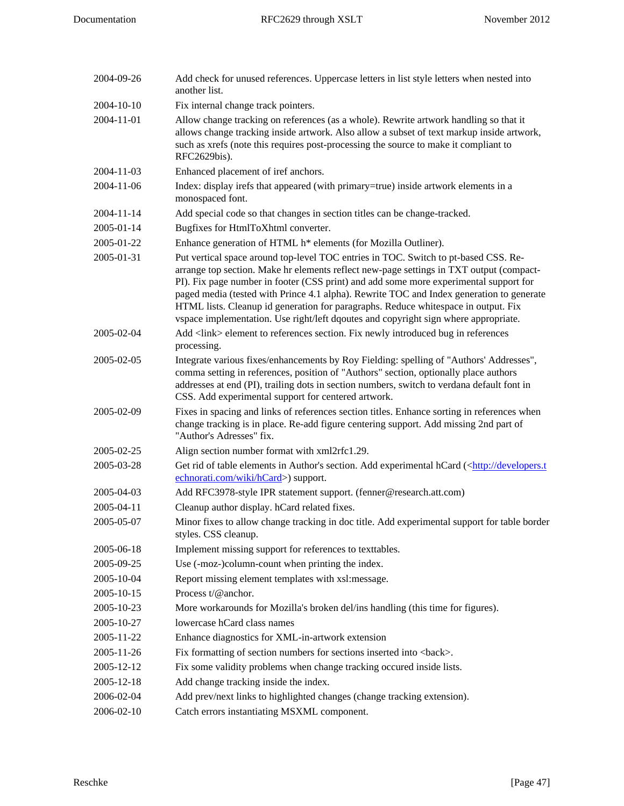| 2004-09-26 | Add check for unused references. Uppercase letters in list style letters when nested into<br>another list.                                                                                                                                                                                                                                                                                                                                                                                                                                       |
|------------|--------------------------------------------------------------------------------------------------------------------------------------------------------------------------------------------------------------------------------------------------------------------------------------------------------------------------------------------------------------------------------------------------------------------------------------------------------------------------------------------------------------------------------------------------|
| 2004-10-10 | Fix internal change track pointers.                                                                                                                                                                                                                                                                                                                                                                                                                                                                                                              |
| 2004-11-01 | Allow change tracking on references (as a whole). Rewrite artwork handling so that it<br>allows change tracking inside artwork. Also allow a subset of text markup inside artwork,<br>such as xrefs (note this requires post-processing the source to make it compliant to<br>RFC2629bis).                                                                                                                                                                                                                                                       |
| 2004-11-03 | Enhanced placement of iref anchors.                                                                                                                                                                                                                                                                                                                                                                                                                                                                                                              |
| 2004-11-06 | Index: display irefs that appeared (with primary=true) inside artwork elements in a<br>monospaced font.                                                                                                                                                                                                                                                                                                                                                                                                                                          |
| 2004-11-14 | Add special code so that changes in section titles can be change-tracked.                                                                                                                                                                                                                                                                                                                                                                                                                                                                        |
| 2005-01-14 | Bugfixes for HtmlToXhtml converter.                                                                                                                                                                                                                                                                                                                                                                                                                                                                                                              |
| 2005-01-22 | Enhance generation of HTML h* elements (for Mozilla Outliner).                                                                                                                                                                                                                                                                                                                                                                                                                                                                                   |
| 2005-01-31 | Put vertical space around top-level TOC entries in TOC. Switch to pt-based CSS. Re-<br>arrange top section. Make hr elements reflect new-page settings in TXT output (compact-<br>PI). Fix page number in footer (CSS print) and add some more experimental support for<br>paged media (tested with Prince 4.1 alpha). Rewrite TOC and Index generation to generate<br>HTML lists. Cleanup id generation for paragraphs. Reduce whitespace in output. Fix<br>vspace implementation. Use right/left dqoutes and copyright sign where appropriate. |
| 2005-02-04 | Add <link/> element to references section. Fix newly introduced bug in references<br>processing.                                                                                                                                                                                                                                                                                                                                                                                                                                                 |
| 2005-02-05 | Integrate various fixes/enhancements by Roy Fielding: spelling of "Authors' Addresses",<br>comma setting in references, position of "Authors" section, optionally place authors<br>addresses at end (PI), trailing dots in section numbers, switch to verdana default font in<br>CSS. Add experimental support for centered artwork.                                                                                                                                                                                                             |
| 2005-02-09 | Fixes in spacing and links of references section titles. Enhance sorting in references when<br>change tracking is in place. Re-add figure centering support. Add missing 2nd part of<br>"Author's Adresses" fix.                                                                                                                                                                                                                                                                                                                                 |
| 2005-02-25 | Align section number format with xml2rfc1.29.                                                                                                                                                                                                                                                                                                                                                                                                                                                                                                    |
| 2005-03-28 | Get rid of table elements in Author's section. Add experimental hCard ( <http: developers.t<br="">echnorati.com/wiki/hCard&gt;) support.</http:>                                                                                                                                                                                                                                                                                                                                                                                                 |
| 2005-04-03 | Add RFC3978-style IPR statement support. (fenner@research.att.com)                                                                                                                                                                                                                                                                                                                                                                                                                                                                               |
| 2005-04-11 | Cleanup author display. hCard related fixes.                                                                                                                                                                                                                                                                                                                                                                                                                                                                                                     |
| 2005-05-07 | Minor fixes to allow change tracking in doc title. Add experimental support for table border<br>styles. CSS cleanup.                                                                                                                                                                                                                                                                                                                                                                                                                             |
| 2005-06-18 | Implement missing support for references to texttables.                                                                                                                                                                                                                                                                                                                                                                                                                                                                                          |
| 2005-09-25 | Use (-moz-)column-count when printing the index.                                                                                                                                                                                                                                                                                                                                                                                                                                                                                                 |
| 2005-10-04 | Report missing element templates with xsl:message.                                                                                                                                                                                                                                                                                                                                                                                                                                                                                               |
| 2005-10-15 | Process t/@anchor.                                                                                                                                                                                                                                                                                                                                                                                                                                                                                                                               |
| 2005-10-23 | More workarounds for Mozilla's broken del/ins handling (this time for figures).                                                                                                                                                                                                                                                                                                                                                                                                                                                                  |
| 2005-10-27 | lowercase hCard class names                                                                                                                                                                                                                                                                                                                                                                                                                                                                                                                      |
| 2005-11-22 | Enhance diagnostics for XML-in-artwork extension                                                                                                                                                                                                                                                                                                                                                                                                                                                                                                 |
| 2005-11-26 | Fix formatting of section numbers for sections inserted into<br>back>.                                                                                                                                                                                                                                                                                                                                                                                                                                                                           |
| 2005-12-12 | Fix some validity problems when change tracking occured inside lists.                                                                                                                                                                                                                                                                                                                                                                                                                                                                            |
| 2005-12-18 | Add change tracking inside the index.                                                                                                                                                                                                                                                                                                                                                                                                                                                                                                            |
| 2006-02-04 | Add prev/next links to highlighted changes (change tracking extension).                                                                                                                                                                                                                                                                                                                                                                                                                                                                          |
| 2006-02-10 | Catch errors instantiating MSXML component.                                                                                                                                                                                                                                                                                                                                                                                                                                                                                                      |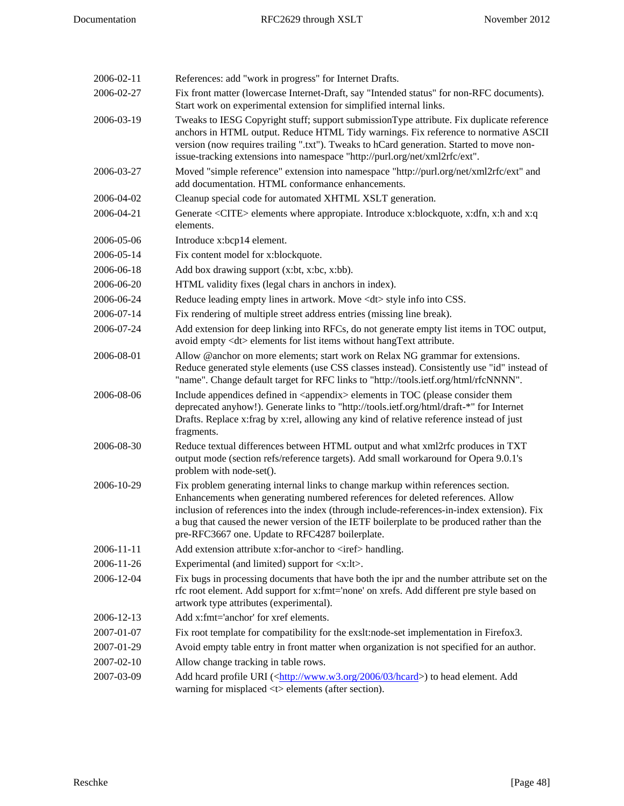| 2006-02-11 | References: add "work in progress" for Internet Drafts.                                                                                                                                                                                                                                                                                                                                                             |
|------------|---------------------------------------------------------------------------------------------------------------------------------------------------------------------------------------------------------------------------------------------------------------------------------------------------------------------------------------------------------------------------------------------------------------------|
| 2006-02-27 | Fix front matter (lowercase Internet-Draft, say "Intended status" for non-RFC documents).<br>Start work on experimental extension for simplified internal links.                                                                                                                                                                                                                                                    |
| 2006-03-19 | Tweaks to IESG Copyright stuff; support submissionType attribute. Fix duplicate reference<br>anchors in HTML output. Reduce HTML Tidy warnings. Fix reference to normative ASCII<br>version (now requires trailing ".txt"). Tweaks to hCard generation. Started to move non-<br>issue-tracking extensions into namespace "http://purl.org/net/xml2rfc/ext".                                                         |
| 2006-03-27 | Moved "simple reference" extension into namespace "http://purl.org/net/xml2rfc/ext" and<br>add documentation. HTML conformance enhancements.                                                                                                                                                                                                                                                                        |
| 2006-04-02 | Cleanup special code for automated XHTML XSLT generation.                                                                                                                                                                                                                                                                                                                                                           |
| 2006-04-21 | Generate <cite> elements where appropiate. Introduce x:blockquote, x:dfn, x:h and x:q<br/>elements.</cite>                                                                                                                                                                                                                                                                                                          |
| 2006-05-06 | Introduce x:bcp14 element.                                                                                                                                                                                                                                                                                                                                                                                          |
| 2006-05-14 | Fix content model for x:blockquote.                                                                                                                                                                                                                                                                                                                                                                                 |
| 2006-06-18 | Add box drawing support (x:bt, x:bc, x:bb).                                                                                                                                                                                                                                                                                                                                                                         |
| 2006-06-20 | HTML validity fixes (legal chars in anchors in index).                                                                                                                                                                                                                                                                                                                                                              |
| 2006-06-24 | Reduce leading empty lines in artwork. Move <dt> style info into CSS.</dt>                                                                                                                                                                                                                                                                                                                                          |
| 2006-07-14 | Fix rendering of multiple street address entries (missing line break).                                                                                                                                                                                                                                                                                                                                              |
| 2006-07-24 | Add extension for deep linking into RFCs, do not generate empty list items in TOC output,<br>avoid empty <dt> elements for list items without hangText attribute.</dt>                                                                                                                                                                                                                                              |
| 2006-08-01 | Allow @anchor on more elements; start work on Relax NG grammar for extensions.<br>Reduce generated style elements (use CSS classes instead). Consistently use "id" instead of<br>"name". Change default target for RFC links to "http://tools.ietf.org/html/rfcNNNN".                                                                                                                                               |
| 2006-08-06 | Include appendices defined in <appendix> elements in TOC (please consider them<br/>deprecated anyhow!). Generate links to "http://tools.ietf.org/html/draft-*" for Internet<br/>Drafts. Replace x: frag by x: rel, allowing any kind of relative reference instead of just<br/>fragments.</appendix>                                                                                                                |
| 2006-08-30 | Reduce textual differences between HTML output and what xml2rfc produces in TXT<br>output mode (section refs/reference targets). Add small workaround for Opera 9.0.1's<br>problem with node-set().                                                                                                                                                                                                                 |
| 2006-10-29 | Fix problem generating internal links to change markup within references section.<br>Enhancements when generating numbered references for deleted references. Allow<br>inclusion of references into the index (through include-references-in-index extension). Fix<br>a bug that caused the newer version of the IETF boilerplate to be produced rather than the<br>pre-RFC3667 one. Update to RFC4287 boilerplate. |
| 2006-11-11 | Add extension attribute x:for-anchor to <iref> handling.</iref>                                                                                                                                                                                                                                                                                                                                                     |
| 2006-11-26 | Experimental (and limited) support for $\langle x: l \rangle$ .                                                                                                                                                                                                                                                                                                                                                     |
| 2006-12-04 | Fix bugs in processing documents that have both the ipr and the number attribute set on the<br>rfc root element. Add support for x:fmt='none' on xrefs. Add different pre style based on<br>artwork type attributes (experimental).                                                                                                                                                                                 |
| 2006-12-13 | Add x:fmt='anchor' for xref elements.                                                                                                                                                                                                                                                                                                                                                                               |
| 2007-01-07 | Fix root template for compatibility for the exslt:node-set implementation in Firefox3.                                                                                                                                                                                                                                                                                                                              |
| 2007-01-29 | Avoid empty table entry in front matter when organization is not specified for an author.                                                                                                                                                                                                                                                                                                                           |
| 2007-02-10 | Allow change tracking in table rows.                                                                                                                                                                                                                                                                                                                                                                                |
| 2007-03-09 | Add hcard profile URI ( <http: 03="" 2006="" hcard="" www.w3.org="">) to head element. Add<br/>warning for misplaced <t> elements (after section).</t></http:>                                                                                                                                                                                                                                                      |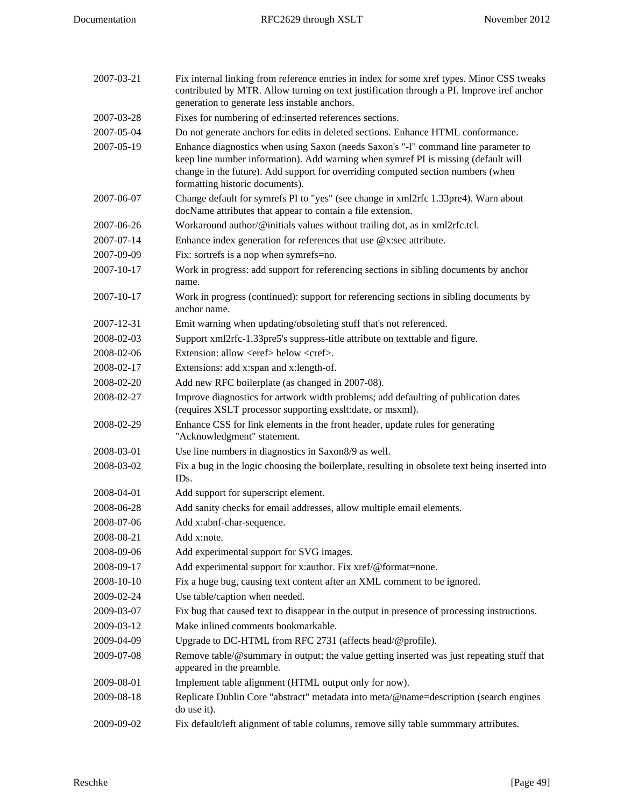| 2007-03-21 | Fix internal linking from reference entries in index for some xref types. Minor CSS tweaks<br>contributed by MTR. Allow turning on text justification through a PI. Improve iref anchor<br>generation to generate less instable anchors.                                                        |
|------------|-------------------------------------------------------------------------------------------------------------------------------------------------------------------------------------------------------------------------------------------------------------------------------------------------|
| 2007-03-28 | Fixes for numbering of ed:inserted references sections.                                                                                                                                                                                                                                         |
| 2007-05-04 | Do not generate anchors for edits in deleted sections. Enhance HTML conformance.                                                                                                                                                                                                                |
| 2007-05-19 | Enhance diagnostics when using Saxon (needs Saxon's "-1" command line parameter to<br>keep line number information). Add warning when symref PI is missing (default will<br>change in the future). Add support for overriding computed section numbers (when<br>formatting historic documents). |
| 2007-06-07 | Change default for symrefs PI to "yes" (see change in xml2rfc 1.33pre4). Warn about<br>docName attributes that appear to contain a file extension.                                                                                                                                              |
| 2007-06-26 | Workaround author/@initials values without trailing dot, as in xml2rfc.tcl.                                                                                                                                                                                                                     |
| 2007-07-14 | Enhance index generation for references that use $@x$ : sec attribute.                                                                                                                                                                                                                          |
| 2007-09-09 | Fix: sortrefs is a nop when symrefs=no.                                                                                                                                                                                                                                                         |
| 2007-10-17 | Work in progress: add support for referencing sections in sibling documents by anchor<br>name.                                                                                                                                                                                                  |
| 2007-10-17 | Work in progress (continued): support for referencing sections in sibling documents by<br>anchor name.                                                                                                                                                                                          |
| 2007-12-31 | Emit warning when updating/obsoleting stuff that's not referenced.                                                                                                                                                                                                                              |
| 2008-02-03 | Support xml2rfc-1.33pre5's suppress-title attribute on texttable and figure.                                                                                                                                                                                                                    |
| 2008-02-06 | Extension: allow <eref> below <cref>.</cref></eref>                                                                                                                                                                                                                                             |
| 2008-02-17 | Extensions: add x:span and x:length-of.                                                                                                                                                                                                                                                         |
| 2008-02-20 | Add new RFC boilerplate (as changed in 2007-08).                                                                                                                                                                                                                                                |
| 2008-02-27 | Improve diagnostics for artwork width problems; add defaulting of publication dates<br>(requires XSLT processor supporting exslt:date, or msxml).                                                                                                                                               |
| 2008-02-29 | Enhance CSS for link elements in the front header, update rules for generating<br>"Acknowledgment" statement.                                                                                                                                                                                   |
| 2008-03-01 | Use line numbers in diagnostics in Saxon8/9 as well.                                                                                                                                                                                                                                            |
| 2008-03-02 | Fix a bug in the logic choosing the boilerplate, resulting in obsolete text being inserted into<br>ID <sub>s</sub> .                                                                                                                                                                            |
| 2008-04-01 | Add support for superscript element.                                                                                                                                                                                                                                                            |
| 2008-06-28 | Add sanity checks for email addresses, allow multiple email elements.                                                                                                                                                                                                                           |
| 2008-07-06 | Add x:abnf-char-sequence.                                                                                                                                                                                                                                                                       |
| 2008-08-21 | Add x:note.                                                                                                                                                                                                                                                                                     |
| 2008-09-06 | Add experimental support for SVG images.                                                                                                                                                                                                                                                        |
| 2008-09-17 | Add experimental support for x:author. Fix xref/@format=none.                                                                                                                                                                                                                                   |
| 2008-10-10 | Fix a huge bug, causing text content after an XML comment to be ignored.                                                                                                                                                                                                                        |
| 2009-02-24 | Use table/caption when needed.                                                                                                                                                                                                                                                                  |
| 2009-03-07 | Fix bug that caused text to disappear in the output in presence of processing instructions.                                                                                                                                                                                                     |
| 2009-03-12 | Make inlined comments bookmarkable.                                                                                                                                                                                                                                                             |
| 2009-04-09 | Upgrade to DC-HTML from RFC 2731 (affects head/@profile).                                                                                                                                                                                                                                       |
| 2009-07-08 | Remove table/@summary in output; the value getting inserted was just repeating stuff that<br>appeared in the preamble.                                                                                                                                                                          |
| 2009-08-01 | Implement table alignment (HTML output only for now).                                                                                                                                                                                                                                           |
| 2009-08-18 | Replicate Dublin Core "abstract" metadata into meta/@name=description (search engines<br>do use it).                                                                                                                                                                                            |
| 2009-09-02 | Fix default/left alignment of table columns, remove silly table summmary attributes.                                                                                                                                                                                                            |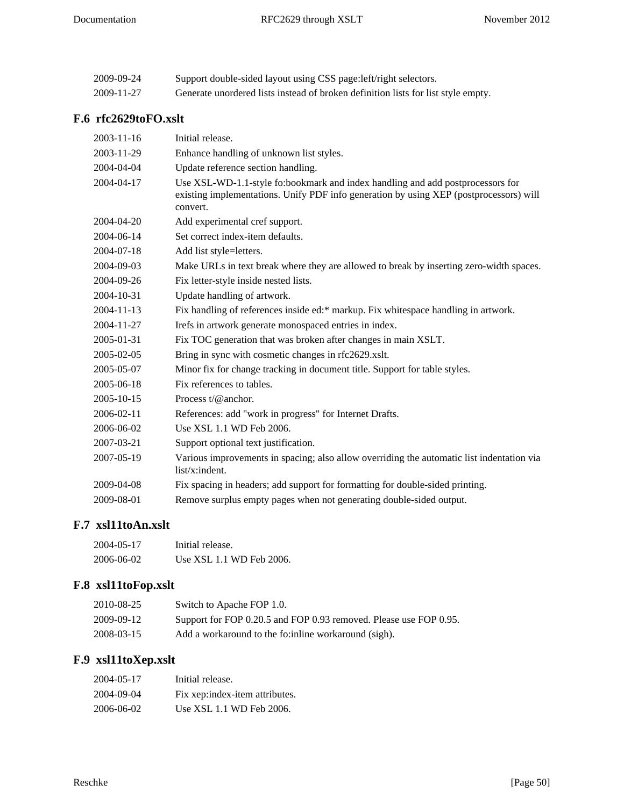| 2009-09-24 | Support double-sided layout using CSS page: left/right selectors.                 |
|------------|-----------------------------------------------------------------------------------|
| 2009-11-27 | Generate unordered lists instead of broken definition lists for list style empty. |

# <span id="page-49-0"></span>**F.6 rfc2629toFO.xslt**

| Initial release.                                                                                                                                                                     |
|--------------------------------------------------------------------------------------------------------------------------------------------------------------------------------------|
| Enhance handling of unknown list styles.                                                                                                                                             |
| Update reference section handling.                                                                                                                                                   |
| Use XSL-WD-1.1-style fo:bookmark and index handling and add postprocessors for<br>existing implementations. Unify PDF info generation by using XEP (postprocessors) will<br>convert. |
| Add experimental cref support.                                                                                                                                                       |
| Set correct index-item defaults.                                                                                                                                                     |
| Add list style=letters.                                                                                                                                                              |
| Make URLs in text break where they are allowed to break by inserting zero-width spaces.                                                                                              |
| Fix letter-style inside nested lists.                                                                                                                                                |
| Update handling of artwork.                                                                                                                                                          |
| Fix handling of references inside ed:* markup. Fix whitespace handling in artwork.                                                                                                   |
| Irefs in artwork generate monospaced entries in index.                                                                                                                               |
| Fix TOC generation that was broken after changes in main XSLT.                                                                                                                       |
| Bring in sync with cosmetic changes in rfc2629.xslt.                                                                                                                                 |
| Minor fix for change tracking in document title. Support for table styles.                                                                                                           |
| Fix references to tables.                                                                                                                                                            |
| Process $t/\omega$ anchor.                                                                                                                                                           |
| References: add "work in progress" for Internet Drafts.                                                                                                                              |
| Use XSL 1.1 WD Feb 2006.                                                                                                                                                             |
| Support optional text justification.                                                                                                                                                 |
| Various improvements in spacing; also allow overriding the automatic list indentation via<br>list/x:indent.                                                                          |
| Fix spacing in headers; add support for formatting for double-sided printing.                                                                                                        |
| Remove surplus empty pages when not generating double-sided output.                                                                                                                  |
|                                                                                                                                                                                      |

### <span id="page-49-1"></span>**F.7 xsl11toAn.xslt**

| 2004-05-17 | Initial release.         |
|------------|--------------------------|
| 2006-06-02 | Use XSL 1.1 WD Feb 2006. |

# <span id="page-49-2"></span>**F.8 xsl11toFop.xslt**

| 2010-08-25 | Switch to Apache FOP 1.0.                                         |
|------------|-------------------------------------------------------------------|
| 2009-09-12 | Support for FOP 0.20.5 and FOP 0.93 removed. Please use FOP 0.95. |
| 2008-03-15 | Add a workaround to the fo: inline workaround (sigh).             |

# <span id="page-49-3"></span>**F.9 xsl11toXep.xslt**

| 2004-05-17 | Initial release.               |
|------------|--------------------------------|
| 2004-09-04 | Fix xep:index-item attributes. |
| 2006-06-02 | Use XSL 1.1 WD Feb 2006.       |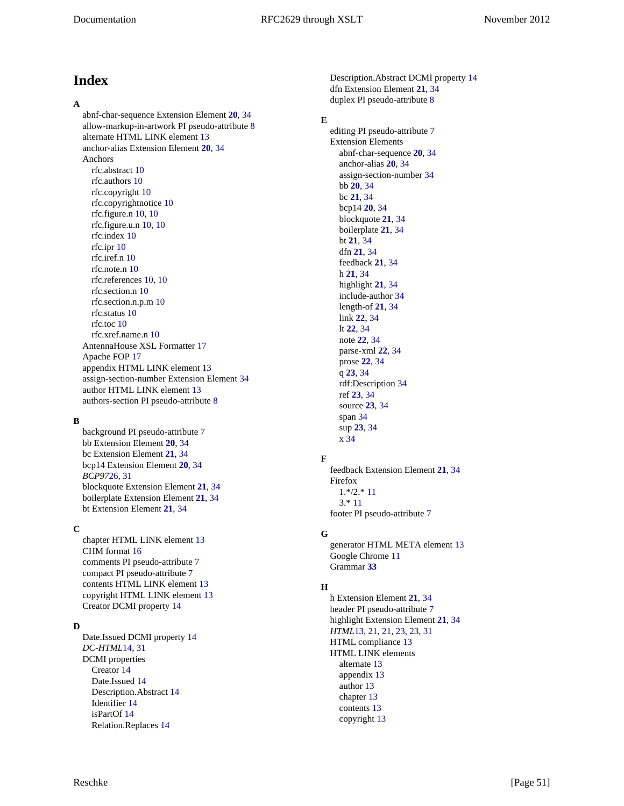# <span id="page-50-0"></span>**Index**

#### **A**

abnf-char-sequence Extension Element **[20](#page-19-5)**, [34](#page-33-27) allow-markup-in-artwork PI pseudo-attribute [8](#page-7-2) alternate HTML LINK element [13](#page-12-4) anchor-alias Extension Element **[20](#page-19-6)**, [34](#page-33-27) Anchors rfc.abstract [10](#page-9-1) rfc.authors [10](#page-9-1) rfc.copyright [10](#page-9-1) rfc.copyrightnotice [10](#page-9-1) rfc.figure.n [10, 10](#page-9-1) rfc.figure.u.n [10](#page-9-1), [10](#page-9-1) rfc.index [10](#page-9-1) rfc.ipr [10](#page-9-1) rfc.iref.n [10](#page-9-1) rfc.note.n [10](#page-9-1) rfc.references [10](#page-9-1), [10](#page-9-1) rfc.section.n [10](#page-9-1) rfc.section.n.p.m [10](#page-9-1) rfc.status [10](#page-9-1) rfc.toc [10](#page-9-1) rfc.xref.name.n [10](#page-9-1) AntennaHouse XSL Formatter [17](#page-16-5) Apache FOP [17](#page-16-6) appendix HTML LINK element [13](#page-12-4) assign-section-number Extension Element [34](#page-33-27) author HTML LINK element [13](#page-12-4) authors-section PI pseudo-attribute [8](#page-7-2)

#### **B**

background PI pseudo-attribute [7](#page-6-2) bb Extension Element **[20](#page-19-7)**, [34](#page-33-27) bc Extension Element **[21](#page-20-9)**, [34](#page-33-27) bcp14 Extension Element **[20](#page-19-8)**, [34](#page-33-27) *BCP97*[26](#page-25-2), [31](#page-30-10) blockquote Extension Element **[21](#page-20-10)**, [34](#page-33-27) boilerplate Extension Element **[21](#page-20-11)**, [34](#page-33-27) bt Extension Element **[21](#page-20-12)**, [34](#page-33-27)

#### **C**

chapter HTML LINK element [13](#page-12-4) CHM format [16](#page-15-1) comments PI pseudo-attribute [7](#page-6-2) compact PI pseudo-attribute [7](#page-6-2) contents HTML LINK element [13](#page-12-4) copyright HTML LINK element [13](#page-12-4) Creator DCMI property [14](#page-13-2)

#### **D**

Date.Issued DCMI property [14](#page-13-2) *DC-HTML*[14,](#page-13-3) [31](#page-30-4) DCMI properties Creator [14](#page-13-2) Date.Issued [14](#page-13-2) Description.Abstract [14](#page-13-2) Identifier [14](#page-13-2) isPartOf [14](#page-13-2) Relation.Replaces [14](#page-13-2)

Description.Abstract DCMI property [14](#page-13-2) dfn Extension Element **[21](#page-20-13)**, [34](#page-33-27) duplex PI pseudo-attribute [8](#page-7-2)

### **E**

editing PI pseudo-attribute [7](#page-6-2) Extension Elements abnf-char-sequence **[20](#page-19-5)**, [34](#page-33-27) anchor-alias **[20](#page-19-6)**, [34](#page-33-27) assign-section-number [34](#page-33-27) bb **[20](#page-19-7)**, [34](#page-33-27) bc **[21](#page-20-9)**, [34](#page-33-27) bcp14 **[20](#page-19-8)**, [34](#page-33-27) blockquote **[21](#page-20-10)**, [34](#page-33-27) boilerplate **[21](#page-20-11)**, [34](#page-33-27) bt **[21](#page-20-12)**, [34](#page-33-27) dfn **[21](#page-20-13)**, [34](#page-33-27) feedback **[21](#page-20-14)**, [34](#page-33-27) h **[21](#page-20-15)**, [34](#page-33-27) highlight **[21](#page-20-16)**, [34](#page-33-27) include-author [34](#page-33-27) length-of **[21](#page-20-17)**, [34](#page-33-27) link **[22](#page-21-5)**, [34](#page-33-27) lt **[22](#page-21-6)**, [34](#page-33-27) note **[22](#page-21-7)**, [34](#page-33-27) parse-xml **[22](#page-21-8)**, [34](#page-33-27) prose **[22](#page-21-9)**, [34](#page-33-27) q **[23](#page-22-4)**, [34](#page-33-27) rdf:Description [34](#page-33-27) ref **[23](#page-22-5)**, [34](#page-33-27) source **[23](#page-22-6)**, [34](#page-33-27) span [34](#page-33-27) sup **[23](#page-22-7)**, [34](#page-33-27) x [34](#page-33-27)

#### **F**

feedback Extension Element **[21](#page-20-14)**, [34](#page-33-27) Firefox 1.\*/2.\* [11](#page-10-3) 3.\* [11](#page-10-4) footer PI pseudo-attribute [7](#page-6-2)

#### **G**

generator HTML META element [13](#page-12-5) Google Chrome [11](#page-10-5) Grammar **[33](#page-32-1)**

#### **H**

h Extension Element **[21](#page-20-15)**, [34](#page-33-27) header PI pseudo-attribute [7](#page-6-2) highlight Extension Element **[21](#page-20-16)**, [34](#page-33-27) *HTML*[13](#page-12-6), [21,](#page-20-18) [21](#page-20-19), [23,](#page-22-8) [23](#page-22-9), [31](#page-30-2) HTML compliance [13](#page-12-7) HTML LINK elements alternate [13](#page-12-4) appendix [13](#page-12-4) author [13](#page-12-4) chapter [13](#page-12-4) contents [13](#page-12-4) copyright [13](#page-12-4)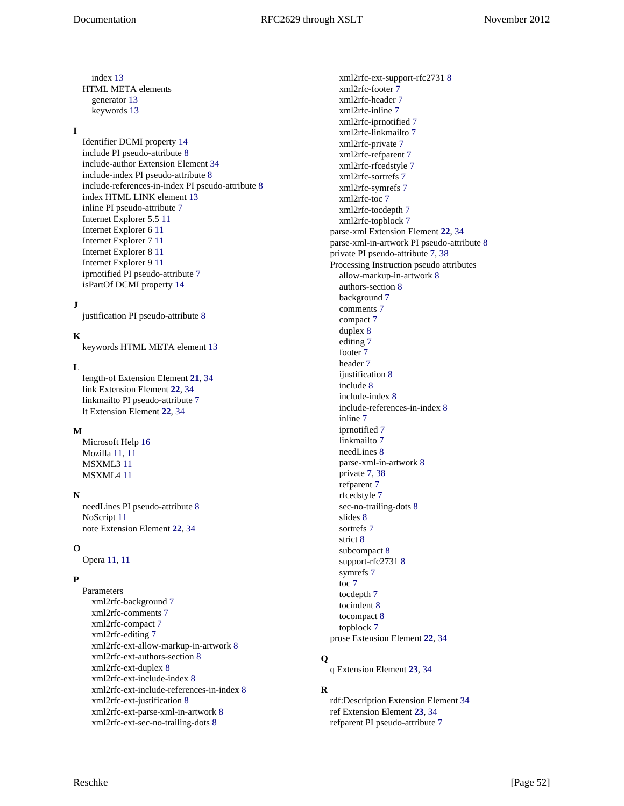index [13](#page-12-4) HTML META elements generator [13](#page-12-5) keywords [13](#page-12-5)

#### **I**

Identifier DCMI property [14](#page-13-2) include PI pseudo-attribute [8](#page-7-3) include-author Extension Element [34](#page-33-27) include-index PI pseudo-attribute [8](#page-7-2) include-references-in-index PI pseudo-attribute [8](#page-7-2) index HTML LINK element [13](#page-12-4) inline PI pseudo-attribute [7](#page-6-2) Internet Explorer 5.5 [11](#page-10-6) Internet Explorer 6 [11](#page-10-7) Internet Explorer 7 [11](#page-10-7) Internet Explorer 8 [11](#page-10-7) Internet Explorer 9 [11](#page-10-7) iprnotified PI pseudo-attribute [7](#page-6-2) isPartOf DCMI property [14](#page-13-2)

#### **J**

justification PI pseudo-attribute [8](#page-7-2)

### **K**

keywords HTML META element [13](#page-12-5)

#### **L**

length-of Extension Element **[21](#page-20-17)**, [34](#page-33-27) link Extension Element **[22](#page-21-5)**, [34](#page-33-27) linkmailto PI pseudo-attribute [7](#page-6-2) lt Extension Element **[22](#page-21-6)**, [34](#page-33-27)

#### **M**

Microsoft Help [16](#page-15-2) Mozilla [11](#page-10-4), [11](#page-10-3) MSXML3 [11](#page-10-8) MSXML4 [11](#page-10-8)

#### **N**

needLines PI pseudo-attribute [8](#page-7-3) NoScript [11](#page-10-9) note Extension Element **[22](#page-21-7)**, [34](#page-33-27)

#### **O**

Opera [11](#page-10-10), [11](#page-10-11)

#### **P**

Parameters xml2rfc-background [7](#page-6-2) xml2rfc-comments [7](#page-6-2) xml2rfc-compact [7](#page-6-2) xml2rfc-editing [7](#page-6-2) xml2rfc-ext-allow-markup-in-artwork [8](#page-7-2) xml2rfc-ext-authors-section [8](#page-7-2) xml2rfc-ext-duplex [8](#page-7-2) xml2rfc-ext-include-index [8](#page-7-2) xml2rfc-ext-include-references-in-index [8](#page-7-2) xml2rfc-ext-justification [8](#page-7-2) xml2rfc-ext-parse-xml-in-artwork [8](#page-7-2) xml2rfc-ext-sec-no-trailing-dots [8](#page-7-2)

xml2rfc-ext-support-rfc2731 [8](#page-7-2) xml2rfc-footer [7](#page-6-2) xml2rfc-header [7](#page-6-2) xml2rfc-inline [7](#page-6-2) xml2rfc-iprnotified [7](#page-6-2) xml2rfc-linkmailto [7](#page-6-2) xml2rfc-private [7](#page-6-2) xml2rfc-refparent [7](#page-6-2) xml2rfc-rfcedstyle [7](#page-6-2) xml2rfc-sortrefs [7](#page-6-2) xml2rfc-symrefs [7](#page-6-2) xml2rfc-toc [7](#page-6-2) xml2rfc-tocdepth [7](#page-6-2) xml2rfc-topblock [7](#page-6-2) parse-xml Extension Element **[22](#page-21-8)**, [34](#page-33-27) parse-xml-in-artwork PI pseudo-attribute [8](#page-7-2) private PI pseudo-attribute [7,](#page-6-2) [38](#page-37-5) Processing Instruction pseudo attributes allow-markup-in-artwork [8](#page-7-2) authors-section [8](#page-7-2) background [7](#page-6-2) comments [7](#page-6-2) compact [7](#page-6-2) duplex [8](#page-7-2) editing [7](#page-6-2) footer [7](#page-6-2) header [7](#page-6-2) ijustification [8](#page-7-2) include [8](#page-7-3) include-index [8](#page-7-2) include-references-in-index [8](#page-7-2) inline [7](#page-6-2) iprnotified [7](#page-6-2) linkmailto [7](#page-6-2) needLines [8](#page-7-3) parse-xml-in-artwork [8](#page-7-2) private [7,](#page-6-2) [38](#page-37-5) refparent [7](#page-6-2) rfcedstyle [7](#page-6-2) sec-no-trailing-dots [8](#page-7-2) slides [8](#page-7-3) sortrefs [7](#page-6-2) strict [8](#page-7-3) subcompact [8](#page-7-3) support-rfc2731 [8](#page-7-2) symrefs [7](#page-6-2) toc [7](#page-6-2) tocdepth [7](#page-6-2) tocindent [8](#page-7-3) tocompact [8](#page-7-3) topblock [7](#page-6-2) prose Extension Element **[22](#page-21-9)**, [34](#page-33-27)

### **Q**

q Extension Element **[23](#page-22-4)**, [34](#page-33-27)

#### **R**

rdf:Description Extension Element [34](#page-33-27) ref Extension Element **[23](#page-22-5)**, [34](#page-33-27) refparent PI pseudo-attribute [7](#page-6-2)